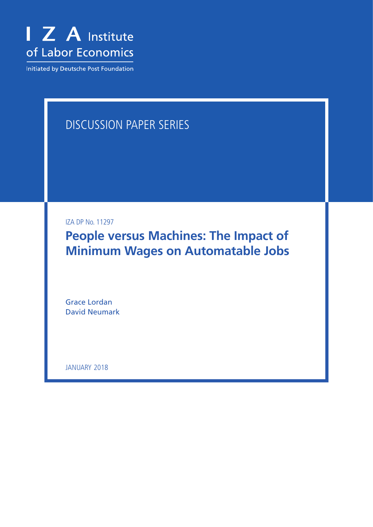

Initiated by Deutsche Post Foundation

# DISCUSSION PAPER SERIES

IZA DP No. 11297

**People versus Machines: The Impact of Minimum Wages on Automatable Jobs**

Grace Lordan David Neumark

JANUARY 2018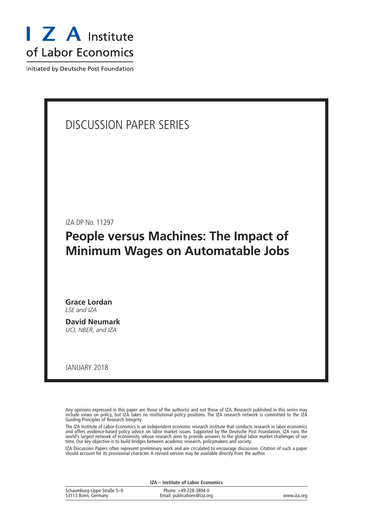

Initiated by Deutsche Post Foundation

## DISCUSSION PAPER SERIES

IZA DP No. 11297

## **People versus Machines: The Impact of Minimum Wages on Automatable Jobs**

**Grace Lordan** *LSE and IZA*

**David Neumark** *UCI, NBER, and IZA*

JANUARY 2018

Any opinions expressed in this paper are those of the author(s) and not those of IZA. Research published in this series may include views on policy, but IZA takes no institutional policy positions. The IZA research network is committed to the IZA Guiding Principles of Research Integrity.

The IZA Institute of Labor Economics is an independent economic research institute that conducts research in labor economics and offers evidence-based policy advice on labor market issues. Supported by the Deutsche Post Foundation, IZA runs the world's largest network of economists, whose research aims to provide answers to the global labor market challenges of our time. Our key objective is to build bridges between academic research, policymakers and society.

IZA Discussion Papers often represent preliminary work and are circulated to encourage discussion. Citation of such a paper should account for its provisional character. A revised version may be available directly from the author.

|                                                    | IZA - Institute of Labor Economics                   |             |
|----------------------------------------------------|------------------------------------------------------|-------------|
| Schaumburg-Lippe-Straße 5–9<br>53113 Bonn, Germany | Phone: +49-228-3894-0<br>Email: publications@iza.org | www.iza.org |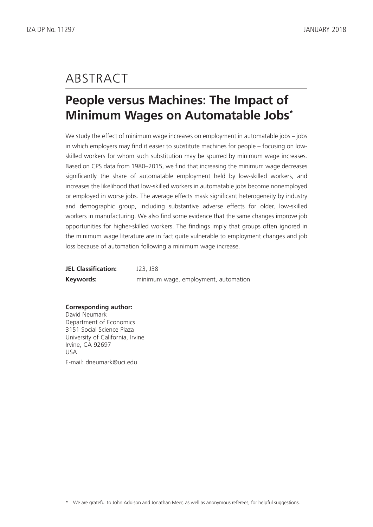# ABSTRACT

# **People versus Machines: The Impact of Minimum Wages on Automatable Jobs\***

We study the effect of minimum wage increases on employment in automatable jobs – jobs in which employers may find it easier to substitute machines for people – focusing on lowskilled workers for whom such substitution may be spurred by minimum wage increases. Based on CPS data from 1980–2015, we find that increasing the minimum wage decreases significantly the share of automatable employment held by low-skilled workers, and increases the likelihood that low-skilled workers in automatable jobs become nonemployed or employed in worse jobs. The average effects mask significant heterogeneity by industry and demographic group, including substantive adverse effects for older, low-skilled workers in manufacturing. We also find some evidence that the same changes improve job opportunities for higher-skilled workers. The findings imply that groups often ignored in the minimum wage literature are in fact quite vulnerable to employment changes and job loss because of automation following a minimum wage increase.

| <b>JEL Classification:</b> | J23, J38                             |
|----------------------------|--------------------------------------|
| Keywords:                  | minimum wage, employment, automation |

**Corresponding author:** David Neumark Department of Economics 3151 Social Science Plaza University of California, Irvine Irvine, CA 92697 USA E-mail: dneumark@uci.edu

We are grateful to John Addison and Jonathan Meer, as well as anonymous referees, for helpful suggestions.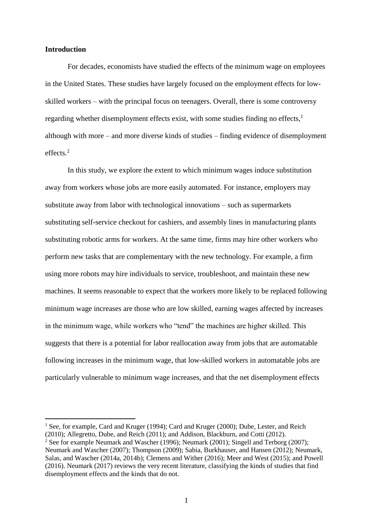## **Introduction**

<u>.</u>

For decades, economists have studied the effects of the minimum wage on employees in the United States. These studies have largely focused on the employment effects for lowskilled workers – with the principal focus on teenagers. Overall, there is some controversy regarding whether disemployment effects exist, with some studies finding no effects, 1 although with more – and more diverse kinds of studies – finding evidence of disemployment effects. 2

In this study, we explore the extent to which minimum wages induce substitution away from workers whose jobs are more easily automated. For instance, employers may substitute away from labor with technological innovations – such as supermarkets substituting self-service checkout for cashiers, and assembly lines in manufacturing plants substituting robotic arms for workers. At the same time, firms may hire other workers who perform new tasks that are complementary with the new technology. For example, a firm using more robots may hire individuals to service, troubleshoot, and maintain these new machines. It seems reasonable to expect that the workers more likely to be replaced following minimum wage increases are those who are low skilled, earning wages affected by increases in the minimum wage, while workers who "tend" the machines are higher skilled. This suggests that there is a potential for labor reallocation away from jobs that are automatable following increases in the minimum wage, that low-skilled workers in automatable jobs are particularly vulnerable to minimum wage increases, and that the net disemployment effects

<sup>&</sup>lt;sup>1</sup> See, for example, Card and Kruger (1994); Card and Kruger (2000); Dube, Lester, and Reich (2010); Allegretto, Dube, and Reich (2011); and Addison, Blackburn, and Cotti (2012).

<sup>&</sup>lt;sup>2</sup> See for example Neumark and Wascher (1996); Neumark (2001); Singell and Terborg (2007); Neumark and Wascher (2007); Thompson (2009); Sabia, Burkhauser, and Hansen (2012); Neumark, Salas, and Wascher (2014a, 2014b); Clemens and Wither (2016); Meer and West (2015); and Powell (2016). Neumark (2017) reviews the very recent literature, classifying the kinds of studies that find disemployment effects and the kinds that do not.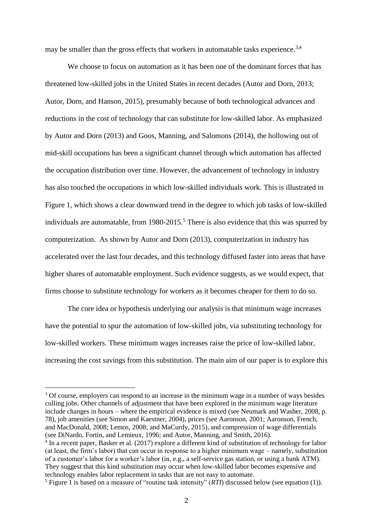may be smaller than the gross effects that workers in automatable tasks experience.<sup>3,4</sup>

We choose to focus on automation as it has been one of the dominant forces that has threatened low-skilled jobs in the United States in recent decades (Autor and Dorn, 2013; Autor, Dorn, and Hanson, 2015), presumably because of both technological advances and reductions in the cost of technology that can substitute for low-skilled labor. As emphasized by Autor and Dorn (2013) and Goos, Manning, and Salomons (2014), the hollowing out of mid-skill occupations has been a significant channel through which automation has affected the occupation distribution over time. However, the advancement of technology in industry has also touched the occupations in which low-skilled individuals work. This is illustrated in Figure 1, which shows a clear downward trend in the degree to which job tasks of low-skilled individuals are automatable, from 1980-2015. <sup>5</sup> There is also evidence that this was spurred by computerization. As shown by Autor and Dorn (2013), computerization in industry has accelerated over the last four decades, and this technology diffused faster into areas that have higher shares of automatable employment. Such evidence suggests, as we would expect, that firms choose to substitute technology for workers as it becomes cheaper for them to do so.

The core idea or hypothesis underlying our analysis is that minimum wage increases have the potential to spur the automation of low-skilled jobs, via substituting technology for low-skilled workers. These minimum wages increases raise the price of low-skilled labor, increasing the cost savings from this substitution. The main aim of our paper is to explore this

<u>.</u>

<sup>&</sup>lt;sup>3</sup> Of course, employers can respond to an increase in the minimum wage in a number of ways besides culling jobs. Other channels of adjustment that have been explored in the minimum wage literature include changes in hours – where the empirical evidence is mixed (see Neumark and Washer, 2008, p. 78), job amenities (see Simon and Kaestner, 2004), prices (see Aaronson, 2001; Aaronson, French, and MacDonald, 2008; Lemos, 2008; and MaCurdy, 2015), and compression of wage differentials (see DiNardo, Fortin, and Lemieux, 1996; and Autor, Manning, and Smith, 2016).

<sup>&</sup>lt;sup>4</sup> In a recent paper, Basker et al. (2017) explore a different kind of substitution of technology for labor (at least, the firm's labor) that can occur in response to a higher minimum wage – namely, substitution of a customer's labor for a worker's labor (in, e.g., a self-service gas station, or using a bank ATM). They suggest that this kind substitution may occur when low-skilled labor becomes expensive and technology enables labor replacement in tasks that are not easy to automate.

<sup>5</sup> Figure 1 is based on a measure of "routine task intensity" (*RTI*) discussed below (see equation (1)).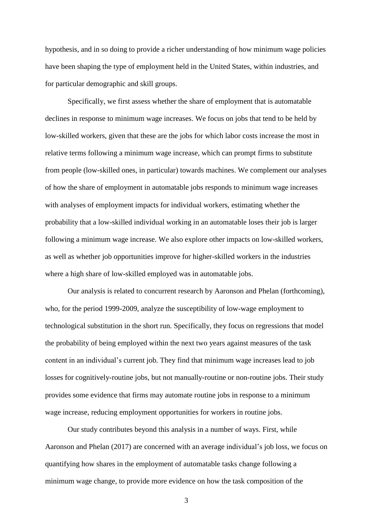hypothesis, and in so doing to provide a richer understanding of how minimum wage policies have been shaping the type of employment held in the United States, within industries, and for particular demographic and skill groups.

Specifically, we first assess whether the share of employment that is automatable declines in response to minimum wage increases. We focus on jobs that tend to be held by low-skilled workers, given that these are the jobs for which labor costs increase the most in relative terms following a minimum wage increase, which can prompt firms to substitute from people (low-skilled ones, in particular) towards machines. We complement our analyses of how the share of employment in automatable jobs responds to minimum wage increases with analyses of employment impacts for individual workers, estimating whether the probability that a low-skilled individual working in an automatable loses their job is larger following a minimum wage increase. We also explore other impacts on low-skilled workers, as well as whether job opportunities improve for higher-skilled workers in the industries where a high share of low-skilled employed was in automatable jobs.

Our analysis is related to concurrent research by Aaronson and Phelan (forthcoming), who, for the period 1999-2009, analyze the susceptibility of low-wage employment to technological substitution in the short run. Specifically, they focus on regressions that model the probability of being employed within the next two years against measures of the task content in an individual's current job. They find that minimum wage increases lead to job losses for cognitively-routine jobs, but not manually-routine or non-routine jobs. Their study provides some evidence that firms may automate routine jobs in response to a minimum wage increase, reducing employment opportunities for workers in routine jobs.

Our study contributes beyond this analysis in a number of ways. First, while Aaronson and Phelan (2017) are concerned with an average individual's job loss, we focus on quantifying how shares in the employment of automatable tasks change following a minimum wage change, to provide more evidence on how the task composition of the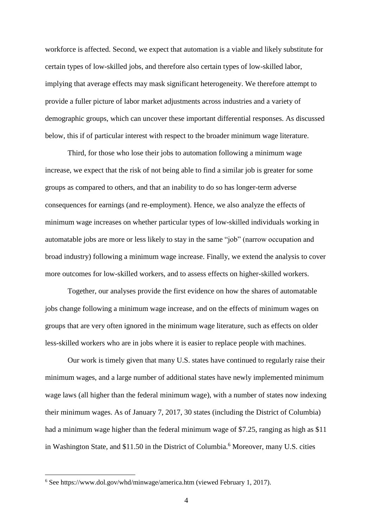workforce is affected. Second, we expect that automation is a viable and likely substitute for certain types of low-skilled jobs, and therefore also certain types of low-skilled labor, implying that average effects may mask significant heterogeneity. We therefore attempt to provide a fuller picture of labor market adjustments across industries and a variety of demographic groups, which can uncover these important differential responses. As discussed below, this if of particular interest with respect to the broader minimum wage literature.

Third, for those who lose their jobs to automation following a minimum wage increase, we expect that the risk of not being able to find a similar job is greater for some groups as compared to others, and that an inability to do so has longer-term adverse consequences for earnings (and re-employment). Hence, we also analyze the effects of minimum wage increases on whether particular types of low-skilled individuals working in automatable jobs are more or less likely to stay in the same "job" (narrow occupation and broad industry) following a minimum wage increase. Finally, we extend the analysis to cover more outcomes for low-skilled workers, and to assess effects on higher-skilled workers.

Together, our analyses provide the first evidence on how the shares of automatable jobs change following a minimum wage increase, and on the effects of minimum wages on groups that are very often ignored in the minimum wage literature, such as effects on older less-skilled workers who are in jobs where it is easier to replace people with machines.

Our work is timely given that many U.S. states have continued to regularly raise their minimum wages, and a large number of additional states have newly implemented minimum wage laws (all higher than the federal minimum wage), with a number of states now indexing their minimum wages. As of January 7, 2017, 30 states (including the District of Columbia) had a minimum wage higher than the federal minimum wage of \$7.25, ranging as high as \$11 in Washington State, and \$11.50 in the District of Columbia.<sup>6</sup> Moreover, many U.S. cities

<sup>6</sup> See https://www.dol.gov/whd/minwage/america.htm (viewed February 1, 2017).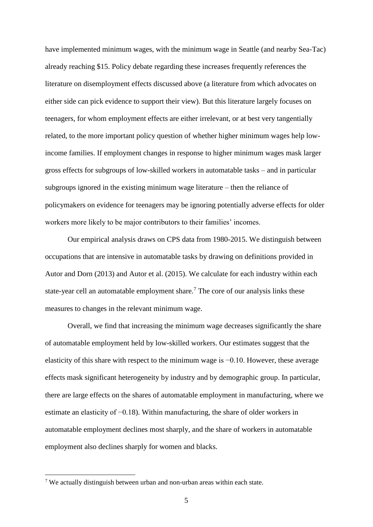have implemented minimum wages, with the minimum wage in Seattle (and nearby Sea-Tac) already reaching \$15. Policy debate regarding these increases frequently references the literature on disemployment effects discussed above (a literature from which advocates on either side can pick evidence to support their view). But this literature largely focuses on teenagers, for whom employment effects are either irrelevant, or at best very tangentially related, to the more important policy question of whether higher minimum wages help lowincome families. If employment changes in response to higher minimum wages mask larger gross effects for subgroups of low-skilled workers in automatable tasks – and in particular subgroups ignored in the existing minimum wage literature – then the reliance of policymakers on evidence for teenagers may be ignoring potentially adverse effects for older workers more likely to be major contributors to their families' incomes.

Our empirical analysis draws on CPS data from 1980-2015. We distinguish between occupations that are intensive in automatable tasks by drawing on definitions provided in Autor and Dorn (2013) and Autor et al. (2015). We calculate for each industry within each state-year cell an automatable employment share.<sup>7</sup> The core of our analysis links these measures to changes in the relevant minimum wage.

Overall, we find that increasing the minimum wage decreases significantly the share of automatable employment held by low-skilled workers. Our estimates suggest that the elasticity of this share with respect to the minimum wage is −0.10. However, these average effects mask significant heterogeneity by industry and by demographic group. In particular, there are large effects on the shares of automatable employment in manufacturing, where we estimate an elasticity of −0.18). Within manufacturing, the share of older workers in automatable employment declines most sharply, and the share of workers in automatable employment also declines sharply for women and blacks.

<sup>7</sup> We actually distinguish between urban and non-urban areas within each state.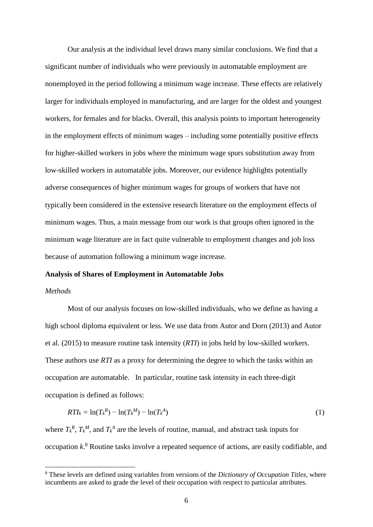Our analysis at the individual level draws many similar conclusions. We find that a significant number of individuals who were previously in automatable employment are nonemployed in the period following a minimum wage increase. These effects are relatively larger for individuals employed in manufacturing, and are larger for the oldest and youngest workers, for females and for blacks. Overall, this analysis points to important heterogeneity in the employment effects of minimum wages – including some potentially positive effects for higher-skilled workers in jobs where the minimum wage spurs substitution away from low-skilled workers in automatable jobs. Moreover, our evidence highlights potentially adverse consequences of higher minimum wages for groups of workers that have not typically been considered in the extensive research literature on the employment effects of minimum wages. Thus, a main message from our work is that groups often ignored in the minimum wage literature are in fact quite vulnerable to employment changes and job loss because of automation following a minimum wage increase.

#### **Analysis of Shares of Employment in Automatable Jobs**

## *Methods*

<u>.</u>

Most of our analysis focuses on low-skilled individuals, who we define as having a high school diploma equivalent or less. We use data from Autor and Dorn (2013) and Autor et al. (2015) to measure routine task intensity (*RTI*) in jobs held by low-skilled workers. These authors use *RTI* as a proxy for determining the degree to which the tasks within an occupation are automatable. In particular, routine task intensity in each three-digit occupation is defined as follows:

$$
RTI_k = \ln(T_k^R) - \ln(T_k^M) - \ln(T_k^A)
$$
\n(1)

where  $T_k^R$ ,  $T_k^M$ , and  $T_k^A$  are the levels of routine, manual, and abstract task inputs for occupation *k*. <sup>8</sup> Routine tasks involve a repeated sequence of actions, are easily codifiable, and

<sup>8</sup> These levels are defined using variables from versions of the *Dictionary of Occupation Titles*, where incumbents are asked to grade the level of their occupation with respect to particular attributes.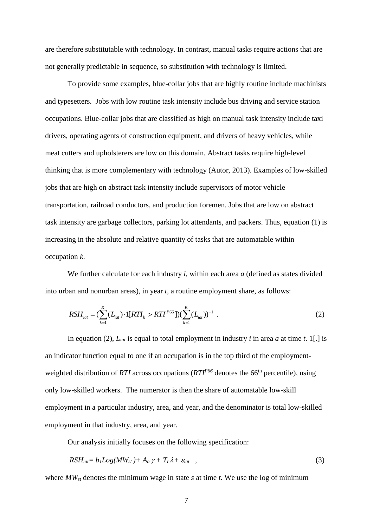are therefore substitutable with technology. In contrast, manual tasks require actions that are not generally predictable in sequence, so substitution with technology is limited.

To provide some examples, blue-collar jobs that are highly routine include machinists and typesetters. Jobs with low routine task intensity include bus driving and service station occupations. Blue-collar jobs that are classified as high on manual task intensity include taxi drivers, operating agents of construction equipment, and drivers of heavy vehicles, while meat cutters and upholsterers are low on this domain. Abstract tasks require high-level thinking that is more complementary with technology (Autor, 2013). Examples of low-skilled jobs that are high on abstract task intensity include supervisors of motor vehicle transportation, railroad conductors, and production foremen. Jobs that are low on abstract task intensity are garbage collectors, parking lot attendants, and packers. Thus, equation (1) is increasing in the absolute and relative quantity of tasks that are automatable within occupation *k*.

We further calculate for each industry *i*, within each area *a* (defined as states divided

into urban and nonurban areas), in year *t*, a routine employment share, as follows:  
\n
$$
RSH_{iat} = (\sum_{k=1}^{K} (L_{iat}) \cdot 1 [RTI_k > RTI^{P66}])(\sum_{k=1}^{K} (L_{iat}))^{-1}
$$
\n(2)

In equation (2), *Liat* is equal to total employment in industry *i* in area *a* at time *t*. 1[.] is an indicator function equal to one if an occupation is in the top third of the employmentweighted distribution of *RTI* across occupations (*RTI<sup>P66</sup>* denotes the 66<sup>th</sup> percentile), using only low-skilled workers. The numerator is then the share of automatable low-skill employment in a particular industry, area, and year, and the denominator is total low-skilled employment in that industry, area, and year.

Our analysis initially focuses on the following specification:

$$
RSHiat = b1Log(MWst) + Aa \gamma + Tt \lambda + \varepsiloniat , \qquad (3)
$$

where *MWst* denotes the minimum wage in state *s* at time *t*. We use the log of minimum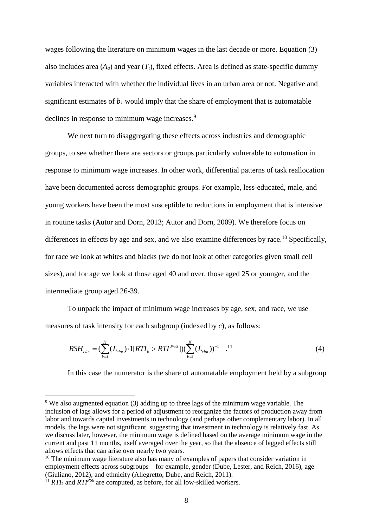wages following the literature on minimum wages in the last decade or more. Equation (3) also includes area  $(A_a)$  and year  $(T_t)$ , fixed effects. Area is defined as state-specific dummy variables interacted with whether the individual lives in an urban area or not. Negative and significant estimates of  $b_I$  would imply that the share of employment that is automatable declines in response to minimum wage increases.<sup>9</sup>

We next turn to disaggregating these effects across industries and demographic groups, to see whether there are sectors or groups particularly vulnerable to automation in response to minimum wage increases. In other work, differential patterns of task reallocation have been documented across demographic groups. For example, less-educated, male, and young workers have been the most susceptible to reductions in employment that is intensive in routine tasks (Autor and Dorn, 2013; Autor and Dorn, 2009). We therefore focus on differences in effects by age and sex, and we also examine differences by race.<sup>10</sup> Specifically, for race we look at whites and blacks (we do not look at other categories given small cell sizes), and for age we look at those aged 40 and over, those aged 25 or younger, and the intermediate group aged 26-39.

To unpack the impact of minimum wage increases by age, sex, and race, we use

measures of task intensity for each subgroup (indexed by *c*), as follows:  
\n
$$
RSH_{ciat} = (\sum_{k=1}^{K} (L_{ciat}) \cdot 1 [RTI_k > RTI^{P66}])(\sum_{k=1}^{K} (L_{ciat}))^{-1} .^{11}
$$
\n(4)

In this case the numerator is the share of automatable employment held by a subgroup

-

<sup>9</sup> We also augmented equation (3) adding up to three lags of the minimum wage variable. The inclusion of lags allows for a period of adjustment to reorganize the factors of production away from labor and towards capital investments in technology (and perhaps other complementary labor). In all models, the lags were not significant, suggesting that investment in technology is relatively fast. As we discuss later, however, the minimum wage is defined based on the average minimum wage in the current and past 11 months, itself averaged over the year, so that the absence of lagged effects still allows effects that can arise over nearly two years.

 $10$  The minimum wage literature also has many of examples of papers that consider variation in employment effects across subgroups – for example, gender (Dube, Lester, and Reich, 2016), age (Giuliano, 2012), and ethnicity (Allegretto, Dube, and Reich, 2011).

<sup>&</sup>lt;sup>11</sup> *RTI<sub>k</sub>* and *RTI*<sup> $P66$ </sup> are computed, as before, for all low-skilled workers.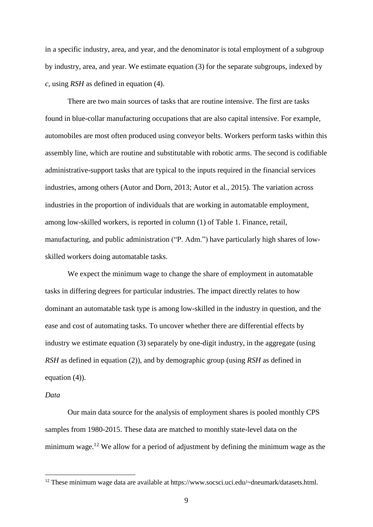in a specific industry, area, and year, and the denominator is total employment of a subgroup by industry, area, and year. We estimate equation (3) for the separate subgroups, indexed by *c*, using *RSH* as defined in equation (4).

There are two main sources of tasks that are routine intensive. The first are tasks found in blue-collar manufacturing occupations that are also capital intensive. For example, automobiles are most often produced using conveyor belts. Workers perform tasks within this assembly line, which are routine and substitutable with robotic arms. The second is codifiable administrative-support tasks that are typical to the inputs required in the financial services industries, among others (Autor and Dorn, 2013; Autor et al., 2015). The variation across industries in the proportion of individuals that are working in automatable employment, among low-skilled workers, is reported in column (1) of Table 1. Finance, retail, manufacturing, and public administration ("P. Adm.") have particularly high shares of lowskilled workers doing automatable tasks.

We expect the minimum wage to change the share of employment in automatable tasks in differing degrees for particular industries. The impact directly relates to how dominant an automatable task type is among low-skilled in the industry in question, and the ease and cost of automating tasks. To uncover whether there are differential effects by industry we estimate equation (3) separately by one-digit industry, in the aggregate (using *RSH* as defined in equation (2)), and by demographic group (using *RSH* as defined in equation (4)).

## *Data*

1

Our main data source for the analysis of employment shares is pooled monthly CPS samples from 1980-2015. These data are matched to monthly state-level data on the minimum wage.<sup>12</sup> We allow for a period of adjustment by defining the minimum wage as the

<sup>12</sup> These minimum wage data are available at https://www.socsci.uci.edu/~dneumark/datasets.html.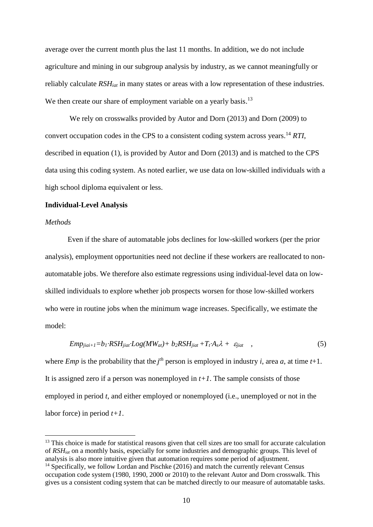average over the current month plus the last 11 months. In addition, we do not include agriculture and mining in our subgroup analysis by industry, as we cannot meaningfully or reliably calculate *RSHiat* in many states or areas with a low representation of these industries. We then create our share of employment variable on a yearly basis.<sup>13</sup>

We rely on crosswalks provided by Autor and Dorn (2013) and Dorn (2009) to convert occupation codes in the CPS to a consistent coding system across years. <sup>14</sup> *RTI*, described in equation (1), is provided by Autor and Dorn (2013) and is matched to the CPS data using this coding system. As noted earlier, we use data on low-skilled individuals with a high school diploma equivalent or less.

#### **Individual-Level Analysis**

## *Methods*

<u>.</u>

Even if the share of automatable jobs declines for low-skilled workers (per the prior analysis), employment opportunities need not decline if these workers are reallocated to nonautomatable jobs. We therefore also estimate regressions using individual-level data on lowskilled individuals to explore whether job prospects worsen for those low-skilled workers who were in routine jobs when the minimum wage increases. Specifically, we estimate the model:

$$
Emp_{jiai+1} = b_1 \cdot RSH_{jiat} \cdot Log(MW_{at}) + b_2 RSH_{jiat} + T_t \cdot A_s \lambda + \varepsilon_{jiat} \quad , \tag{5}
$$

where *Emp* is the probability that the  $j<sup>th</sup>$  person is employed in industry *i*, area *a*, at time *t*+1. It is assigned zero if a person was nonemployed in  $t+1$ . The sample consists of those employed in period *t*, and either employed or nonemployed (i.e., unemployed or not in the labor force) in period *t+1*.

<sup>&</sup>lt;sup>13</sup> This choice is made for statistical reasons given that cell sizes are too small for accurate calculation of *RSHiat* on a monthly basis, especially for some industries and demographic groups. This level of analysis is also more intuitive given that automation requires some period of adjustment.

 $14$  Specifically, we follow Lordan and Pischke (2016) and match the currently relevant Census occupation code system (1980, 1990, 2000 or 2010) to the relevant Autor and Dorn crosswalk. This gives us a consistent coding system that can be matched directly to our measure of automatable tasks.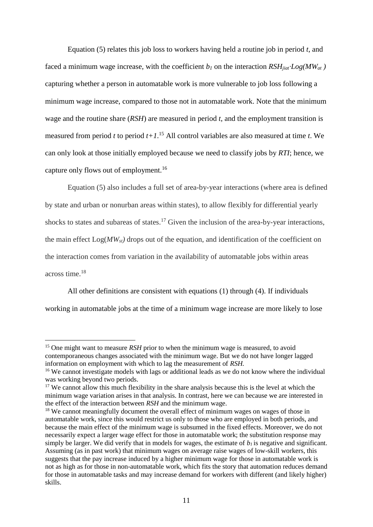Equation (5) relates this job loss to workers having held a routine job in period *t*, and faced a minimum wage increase, with the coefficient  $b_l$  on the interaction  $RSH_{\text{i}iat}$ <sup>*-Log(MW<sub>at</sub>)*</sup> capturing whether a person in automatable work is more vulnerable to job loss following a minimum wage increase, compared to those not in automatable work. Note that the minimum wage and the routine share (*RSH*) are measured in period *t*, and the employment transition is measured from period *t* to period *t+1*. <sup>15</sup> All control variables are also measured at time *t*. We can only look at those initially employed because we need to classify jobs by *RTI*; hence, we capture only flows out of employment. 16

Equation (5) also includes a full set of area-by-year interactions (where area is defined by state and urban or nonurban areas within states), to allow flexibly for differential yearly shocks to states and subareas of states.<sup>17</sup> Given the inclusion of the area-by-year interactions, the main effect Log(*MWst)* drops out of the equation, and identification of the coefficient on the interaction comes from variation in the availability of automatable jobs within areas across time. 18

All other definitions are consistent with equations (1) through (4). If individuals working in automatable jobs at the time of a minimum wage increase are more likely to lose

<u>.</u>

<sup>&</sup>lt;sup>15</sup> One might want to measure *RSH* prior to when the minimum wage is measured, to avoid contemporaneous changes associated with the minimum wage. But we do not have longer lagged information on employment with which to lag the measurement of *RSH.* 

<sup>&</sup>lt;sup>16</sup> We cannot investigate models with lags or additional leads as we do not know where the individual was working beyond two periods.

<sup>&</sup>lt;sup>17</sup> We cannot allow this much flexibility in the share analysis because this is the level at which the minimum wage variation arises in that analysis. In contrast, here we can because we are interested in the effect of the interaction between *RSH* and the minimum wage.

<sup>&</sup>lt;sup>18</sup> We cannot meaningfully document the overall effect of minimum wages on wages of those in automatable work, since this would restrict us only to those who are employed in both periods, and because the main effect of the minimum wage is subsumed in the fixed effects. Moreover, we do not necessarily expect a larger wage effect for those in automatable work; the substitution response may simply be larger. We did verify that in models for wages, the estimate of  $b_l$  is negative and significant. Assuming (as in past work) that minimum wages on average raise wages of low-skill workers, this suggests that the pay increase induced by a higher minimum wage for those in automatable work is not as high as for those in non-automatable work, which fits the story that automation reduces demand for those in automatable tasks and may increase demand for workers with different (and likely higher) skills.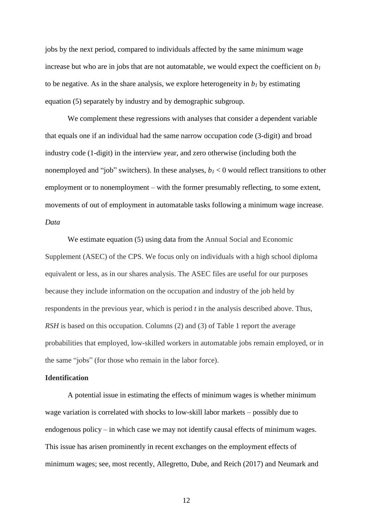jobs by the next period, compared to individuals affected by the same minimum wage increase but who are in jobs that are not automatable, we would expect the coefficient on *b<sup>1</sup>* to be negative. As in the share analysis, we explore heterogeneity in  $b<sub>1</sub>$  by estimating equation (5) separately by industry and by demographic subgroup.

We complement these regressions with analyses that consider a dependent variable that equals one if an individual had the same narrow occupation code (3-digit) and broad industry code (1-digit) in the interview year, and zero otherwise (including both the nonemployed and "job" switchers). In these analyses,  $b<sub>1</sub> < 0$  would reflect transitions to other employment or to nonemployment – with the former presumably reflecting, to some extent, movements of out of employment in automatable tasks following a minimum wage increase. *Data* 

We estimate equation (5) using data from the Annual Social and Economic Supplement (ASEC) of the CPS. We focus only on individuals with a high school diploma equivalent or less, as in our shares analysis. The ASEC files are useful for our purposes because they include information on the occupation and industry of the job held by respondents in the previous year, which is period *t* in the analysis described above. Thus, *RSH* is based on this occupation. Columns (2) and (3) of Table 1 report the average probabilities that employed, low-skilled workers in automatable jobs remain employed, or in the same "jobs" (for those who remain in the labor force).

#### **Identification**

A potential issue in estimating the effects of minimum wages is whether minimum wage variation is correlated with shocks to low-skill labor markets – possibly due to endogenous policy – in which case we may not identify causal effects of minimum wages. This issue has arisen prominently in recent exchanges on the employment effects of minimum wages; see, most recently, Allegretto, Dube, and Reich (2017) and Neumark and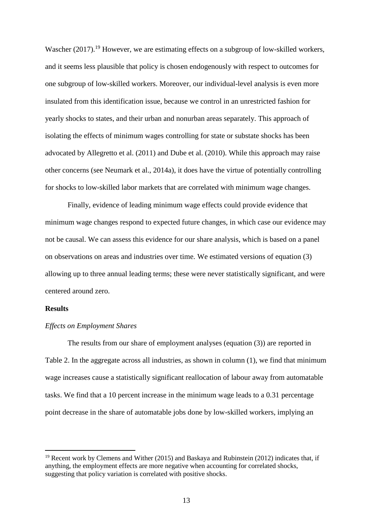Wascher (2017).<sup>19</sup> However, we are estimating effects on a subgroup of low-skilled workers, and it seems less plausible that policy is chosen endogenously with respect to outcomes for one subgroup of low-skilled workers. Moreover, our individual-level analysis is even more insulated from this identification issue, because we control in an unrestricted fashion for yearly shocks to states, and their urban and nonurban areas separately. This approach of isolating the effects of minimum wages controlling for state or substate shocks has been advocated by Allegretto et al. (2011) and Dube et al. (2010). While this approach may raise other concerns (see Neumark et al., 2014a), it does have the virtue of potentially controlling for shocks to low-skilled labor markets that are correlated with minimum wage changes.

Finally, evidence of leading minimum wage effects could provide evidence that minimum wage changes respond to expected future changes, in which case our evidence may not be causal. We can assess this evidence for our share analysis, which is based on a panel on observations on areas and industries over time. We estimated versions of equation (3) allowing up to three annual leading terms; these were never statistically significant, and were centered around zero.

#### **Results**

1

#### *Effects on Employment Shares*

The results from our share of employment analyses (equation (3)) are reported in Table 2. In the aggregate across all industries, as shown in column (1), we find that minimum wage increases cause a statistically significant reallocation of labour away from automatable tasks. We find that a 10 percent increase in the minimum wage leads to a 0.31 percentage point decrease in the share of automatable jobs done by low-skilled workers, implying an

 $19$  Recent work by Clemens and Wither (2015) and Baskaya and Rubinstein (2012) indicates that, if anything, the employment effects are more negative when accounting for correlated shocks, suggesting that policy variation is correlated with positive shocks.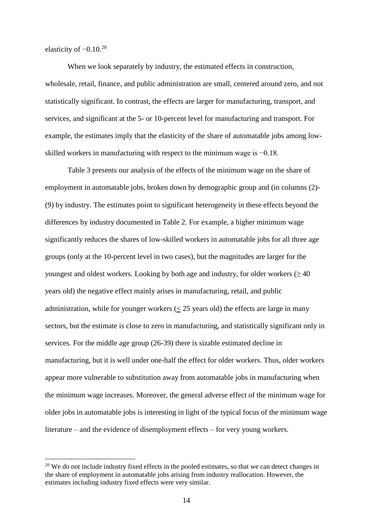elasticity of  $-0.10^{20}$ 

<u>.</u>

When we look separately by industry, the estimated effects in construction, wholesale, retail, finance, and public administration are small, centered around zero, and not statistically significant. In contrast, the effects are larger for manufacturing, transport, and services, and significant at the 5- or 10-percent level for manufacturing and transport. For example, the estimates imply that the elasticity of the share of automatable jobs among lowskilled workers in manufacturing with respect to the minimum wage is −0.18.

Table 3 presents our analysis of the effects of the minimum wage on the share of employment in automatable jobs, broken down by demographic group and (in columns (2)- (9) by industry. The estimates point to significant heterogeneity in these effects beyond the differences by industry documented in Table 2. For example, a higher minimum wage significantly reduces the shares of low-skilled workers in automatable jobs for all three age groups (only at the 10-percent level in two cases), but the magnitudes are larger for the youngest and oldest workers. Looking by both age and industry, for older workers  $(\geq 40)$ years old) the negative effect mainly arises in manufacturing, retail, and public administration, while for younger workers  $(\leq 25$  years old) the effects are large in many sectors, but the estimate is close to zero in manufacturing, and statistically significant only in services. For the middle age group (26-39) there is sizable estimated decline in manufacturing, but it is well under one-half the effect for older workers. Thus, older workers appear more vulnerable to substitution away from automatable jobs in manufacturing when the minimum wage increases. Moreover, the general adverse effect of the minimum wage for older jobs in automatable jobs is interesting in light of the typical focus of the minimum wage literature – and the evidence of disemployment effects – for very young workers.

<sup>&</sup>lt;sup>20</sup> We do not include industry fixed effects in the pooled estimates, so that we can detect changes in the share of employment in automatable jobs arising from industry reallocation. However, the estimates including industry fixed effects were very similar.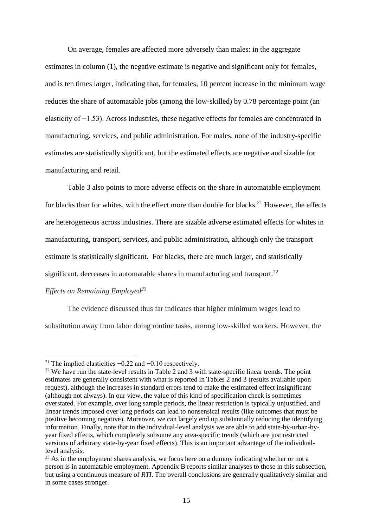On average, females are affected more adversely than males: in the aggregate estimates in column (1), the negative estimate is negative and significant only for females, and is ten times larger, indicating that, for females, 10 percent increase in the minimum wage reduces the share of automatable jobs (among the low-skilled) by 0.78 percentage point (an elasticity of −1.53). Across industries, these negative effects for females are concentrated in manufacturing, services, and public administration. For males, none of the industry-specific estimates are statistically significant, but the estimated effects are negative and sizable for manufacturing and retail.

Table 3 also points to more adverse effects on the share in automatable employment for blacks than for whites, with the effect more than double for blacks.<sup>21</sup> However, the effects are heterogeneous across industries. There are sizable adverse estimated effects for whites in manufacturing, transport, services, and public administration, although only the transport estimate is statistically significant. For blacks, there are much larger, and statistically significant, decreases in automatable shares in manufacturing and transport.<sup>22</sup>

## *Effects on Remaining Employed<sup>23</sup>*

<u>.</u>

The evidence discussed thus far indicates that higher minimum wages lead to substitution away from labor doing routine tasks, among low-skilled workers. However, the

<sup>&</sup>lt;sup>21</sup> The implied elasticities  $-0.22$  and  $-0.10$  respectively.

 $22$  We have run the state-level results in Table 2 and 3 with state-specific linear trends. The point estimates are generally consistent with what is reported in Tables 2 and 3 (results available upon request), although the increases in standard errors tend to make the estimated effect insignificant (although not always). In our view, the value of this kind of specification check is sometimes overstated. For example, over long sample periods, the linear restriction is typically unjustified, and linear trends imposed over long periods can lead to nonsensical results (like outcomes that must be positive becoming negative). Moreover, we can largely end up substantially reducing the identifying information. Finally, note that in the individual-level analysis we are able to add state-by-urban-byyear fixed effects, which completely subsume any area-specific trends (which are just restricted versions of arbitrary state-by-year fixed effects). This is an important advantage of the individuallevel analysis.

 $^{23}$  As in the employment shares analysis, we focus here on a dummy indicating whether or not a person is in automatable employment. Appendix B reports similar analyses to those in this subsection, but using a continuous measure of *RTI*. The overall conclusions are generally qualitatively similar and in some cases stronger.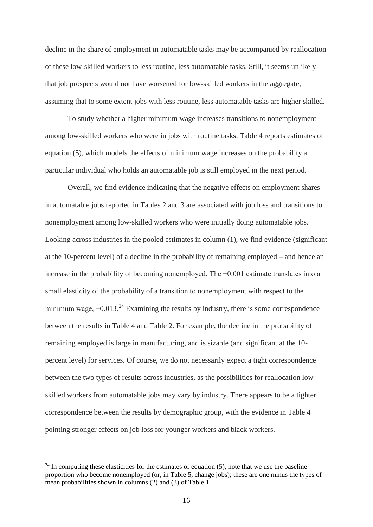decline in the share of employment in automatable tasks may be accompanied by reallocation of these low-skilled workers to less routine, less automatable tasks. Still, it seems unlikely that job prospects would not have worsened for low-skilled workers in the aggregate, assuming that to some extent jobs with less routine, less automatable tasks are higher skilled.

To study whether a higher minimum wage increases transitions to nonemployment among low-skilled workers who were in jobs with routine tasks, Table 4 reports estimates of equation (5), which models the effects of minimum wage increases on the probability a particular individual who holds an automatable job is still employed in the next period.

Overall, we find evidence indicating that the negative effects on employment shares in automatable jobs reported in Tables 2 and 3 are associated with job loss and transitions to nonemployment among low-skilled workers who were initially doing automatable jobs. Looking across industries in the pooled estimates in column (1), we find evidence (significant at the 10-percent level) of a decline in the probability of remaining employed – and hence an increase in the probability of becoming nonemployed. The −0.001 estimate translates into a small elasticity of the probability of a transition to nonemployment with respect to the minimum wage,  $-0.013<sup>24</sup>$  Examining the results by industry, there is some correspondence between the results in Table 4 and Table 2. For example, the decline in the probability of remaining employed is large in manufacturing, and is sizable (and significant at the 10 percent level) for services. Of course, we do not necessarily expect a tight correspondence between the two types of results across industries, as the possibilities for reallocation lowskilled workers from automatable jobs may vary by industry. There appears to be a tighter correspondence between the results by demographic group, with the evidence in Table 4 pointing stronger effects on job loss for younger workers and black workers.

<u>.</u>

 $24$  In computing these elasticities for the estimates of equation (5), note that we use the baseline proportion who become nonemployed (or, in Table 5, change jobs); these are one minus the types of mean probabilities shown in columns (2) and (3) of Table 1.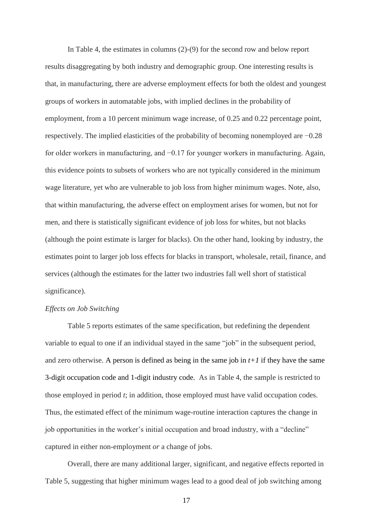In Table 4, the estimates in columns (2)-(9) for the second row and below report results disaggregating by both industry and demographic group. One interesting results is that, in manufacturing, there are adverse employment effects for both the oldest and youngest groups of workers in automatable jobs, with implied declines in the probability of employment, from a 10 percent minimum wage increase, of 0.25 and 0.22 percentage point, respectively. The implied elasticities of the probability of becoming nonemployed are −0.28 for older workers in manufacturing, and −0.17 for younger workers in manufacturing. Again, this evidence points to subsets of workers who are not typically considered in the minimum wage literature, yet who are vulnerable to job loss from higher minimum wages. Note, also, that within manufacturing, the adverse effect on employment arises for women, but not for men, and there is statistically significant evidence of job loss for whites, but not blacks (although the point estimate is larger for blacks). On the other hand, looking by industry, the estimates point to larger job loss effects for blacks in transport, wholesale, retail, finance, and services (although the estimates for the latter two industries fall well short of statistical significance).

## *Effects on Job Switching*

Table 5 reports estimates of the same specification, but redefining the dependent variable to equal to one if an individual stayed in the same "job" in the subsequent period, and zero otherwise. A person is defined as being in the same job in  $t+1$  if they have the same 3-digit occupation code and 1-digit industry code. As in Table 4, the sample is restricted to those employed in period *t*; in addition, those employed must have valid occupation codes. Thus, the estimated effect of the minimum wage-routine interaction captures the change in job opportunities in the worker's initial occupation and broad industry, with a "decline" captured in either non-employment *or* a change of jobs.

Overall, there are many additional larger, significant, and negative effects reported in Table 5, suggesting that higher minimum wages lead to a good deal of job switching among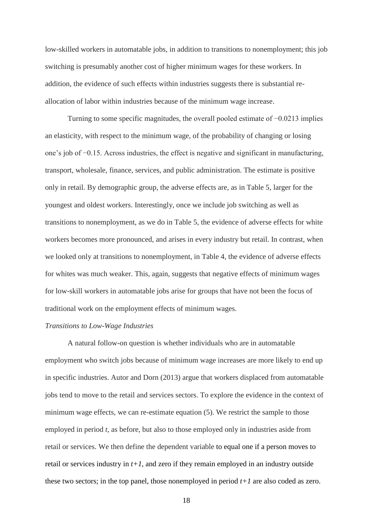low-skilled workers in automatable jobs, in addition to transitions to nonemployment; this job switching is presumably another cost of higher minimum wages for these workers. In addition, the evidence of such effects within industries suggests there is substantial reallocation of labor within industries because of the minimum wage increase.

Turning to some specific magnitudes, the overall pooled estimate of −0.0213 implies an elasticity, with respect to the minimum wage, of the probability of changing or losing one's job of −0.15. Across industries, the effect is negative and significant in manufacturing, transport, wholesale, finance, services, and public administration. The estimate is positive only in retail. By demographic group, the adverse effects are, as in Table 5, larger for the youngest and oldest workers. Interestingly, once we include job switching as well as transitions to nonemployment, as we do in Table 5, the evidence of adverse effects for white workers becomes more pronounced, and arises in every industry but retail. In contrast, when we looked only at transitions to nonemployment, in Table 4, the evidence of adverse effects for whites was much weaker. This, again, suggests that negative effects of minimum wages for low-skill workers in automatable jobs arise for groups that have not been the focus of traditional work on the employment effects of minimum wages.

#### *Transitions to Low-Wage Industries*

A natural follow-on question is whether individuals who are in automatable employment who switch jobs because of minimum wage increases are more likely to end up in specific industries. Autor and Dorn (2013) argue that workers displaced from automatable jobs tend to move to the retail and services sectors. To explore the evidence in the context of minimum wage effects, we can re-estimate equation (5). We restrict the sample to those employed in period *t*, as before, but also to those employed only in industries aside from retail or services. We then define the dependent variable to equal one if a person moves to retail or services industry in  $t+1$ , and zero if they remain employed in an industry outside these two sectors; in the top panel, those nonemployed in period *t+1* are also coded as zero.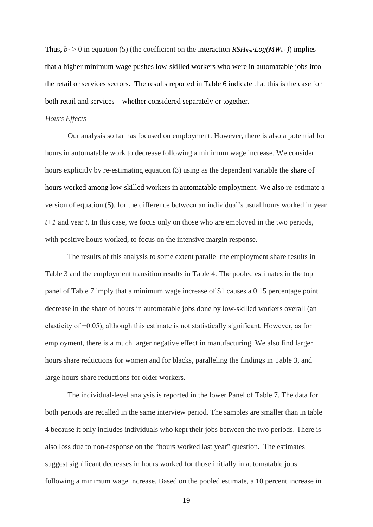Thus,  $b_1 > 0$  in equation (5) (the coefficient on the interaction  $RSH_{jiat}$ *⋅Log(MW<sub>at</sub>)*) implies that a higher minimum wage pushes low-skilled workers who were in automatable jobs into the retail or services sectors. The results reported in Table 6 indicate that this is the case for both retail and services – whether considered separately or together.

#### *Hours Effects*

Our analysis so far has focused on employment. However, there is also a potential for hours in automatable work to decrease following a minimum wage increase. We consider hours explicitly by re-estimating equation (3) using as the dependent variable the share of hours worked among low-skilled workers in automatable employment. We also re-estimate a version of equation (5), for the difference between an individual's usual hours worked in year *t+1* and year *t*. In this case, we focus only on those who are employed in the two periods, with positive hours worked, to focus on the intensive margin response.

The results of this analysis to some extent parallel the employment share results in Table 3 and the employment transition results in Table 4. The pooled estimates in the top panel of Table 7 imply that a minimum wage increase of \$1 causes a 0.15 percentage point decrease in the share of hours in automatable jobs done by low-skilled workers overall (an elasticity of −0.05), although this estimate is not statistically significant. However, as for employment, there is a much larger negative effect in manufacturing. We also find larger hours share reductions for women and for blacks, paralleling the findings in Table 3, and large hours share reductions for older workers.

The individual-level analysis is reported in the lower Panel of Table 7. The data for both periods are recalled in the same interview period. The samples are smaller than in table 4 because it only includes individuals who kept their jobs between the two periods. There is also loss due to non-response on the "hours worked last year" question. The estimates suggest significant decreases in hours worked for those initially in automatable jobs following a minimum wage increase. Based on the pooled estimate, a 10 percent increase in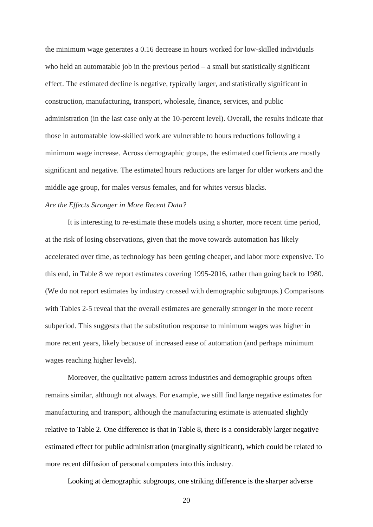the minimum wage generates a 0.16 decrease in hours worked for low-skilled individuals who held an automatable job in the previous period – a small but statistically significant effect. The estimated decline is negative, typically larger, and statistically significant in construction, manufacturing, transport, wholesale, finance, services, and public administration (in the last case only at the 10-percent level). Overall, the results indicate that those in automatable low-skilled work are vulnerable to hours reductions following a minimum wage increase. Across demographic groups, the estimated coefficients are mostly significant and negative. The estimated hours reductions are larger for older workers and the middle age group, for males versus females, and for whites versus blacks.

## *Are the Effects Stronger in More Recent Data?*

It is interesting to re-estimate these models using a shorter, more recent time period, at the risk of losing observations, given that the move towards automation has likely accelerated over time, as technology has been getting cheaper, and labor more expensive. To this end, in Table 8 we report estimates covering 1995-2016, rather than going back to 1980. (We do not report estimates by industry crossed with demographic subgroups.) Comparisons with Tables 2-5 reveal that the overall estimates are generally stronger in the more recent subperiod. This suggests that the substitution response to minimum wages was higher in more recent years, likely because of increased ease of automation (and perhaps minimum wages reaching higher levels).

Moreover, the qualitative pattern across industries and demographic groups often remains similar, although not always. For example, we still find large negative estimates for manufacturing and transport, although the manufacturing estimate is attenuated slightly relative to Table 2. One difference is that in Table 8, there is a considerably larger negative estimated effect for public administration (marginally significant), which could be related to more recent diffusion of personal computers into this industry.

Looking at demographic subgroups, one striking difference is the sharper adverse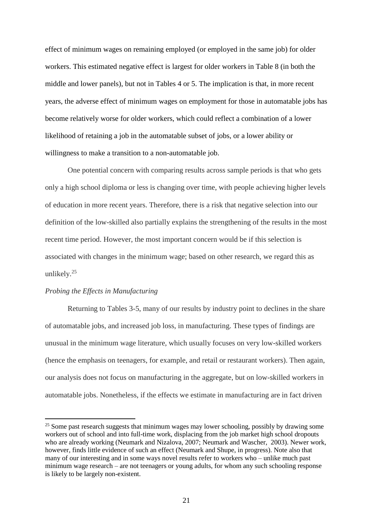effect of minimum wages on remaining employed (or employed in the same job) for older workers. This estimated negative effect is largest for older workers in Table 8 (in both the middle and lower panels), but not in Tables 4 or 5. The implication is that, in more recent years, the adverse effect of minimum wages on employment for those in automatable jobs has become relatively worse for older workers, which could reflect a combination of a lower likelihood of retaining a job in the automatable subset of jobs, or a lower ability or willingness to make a transition to a non-automatable job.

One potential concern with comparing results across sample periods is that who gets only a high school diploma or less is changing over time, with people achieving higher levels of education in more recent years. Therefore, there is a risk that negative selection into our definition of the low-skilled also partially explains the strengthening of the results in the most recent time period. However, the most important concern would be if this selection is associated with changes in the minimum wage; based on other research, we regard this as unlikely.<sup>25</sup>

## *Probing the Effects in Manufacturing*

<u>.</u>

Returning to Tables 3-5, many of our results by industry point to declines in the share of automatable jobs, and increased job loss, in manufacturing. These types of findings are unusual in the minimum wage literature, which usually focuses on very low-skilled workers (hence the emphasis on teenagers, for example, and retail or restaurant workers). Then again, our analysis does not focus on manufacturing in the aggregate, but on low-skilled workers in automatable jobs. Nonetheless, if the effects we estimate in manufacturing are in fact driven

<sup>&</sup>lt;sup>25</sup> Some past research suggests that minimum wages may lower schooling, possibly by drawing some workers out of school and into full-time work, displacing from the job market high school dropouts who are already working (Neumark and Nizalova, 2007; Neumark and Wascher, 2003). Newer work, however, finds little evidence of such an effect (Neumark and Shupe, in progress). Note also that many of our interesting and in some ways novel results refer to workers who – unlike much past minimum wage research – are not teenagers or young adults, for whom any such schooling response is likely to be largely non-existent.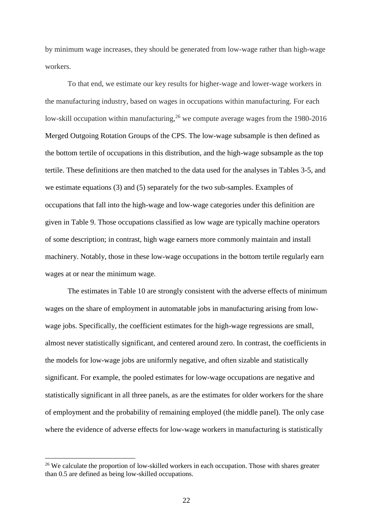by minimum wage increases, they should be generated from low-wage rather than high-wage workers.

To that end, we estimate our key results for higher-wage and lower-wage workers in the manufacturing industry, based on wages in occupations within manufacturing. For each low-skill occupation within manufacturing,<sup>26</sup> we compute average wages from the 1980-2016 Merged Outgoing Rotation Groups of the CPS. The low-wage subsample is then defined as the bottom tertile of occupations in this distribution, and the high-wage subsample as the top tertile. These definitions are then matched to the data used for the analyses in Tables 3-5, and we estimate equations (3) and (5) separately for the two sub-samples. Examples of occupations that fall into the high-wage and low-wage categories under this definition are given in Table 9. Those occupations classified as low wage are typically machine operators of some description; in contrast, high wage earners more commonly maintain and install machinery. Notably, those in these low-wage occupations in the bottom tertile regularly earn wages at or near the minimum wage.

The estimates in Table 10 are strongly consistent with the adverse effects of minimum wages on the share of employment in automatable jobs in manufacturing arising from lowwage jobs. Specifically, the coefficient estimates for the high-wage regressions are small, almost never statistically significant, and centered around zero. In contrast, the coefficients in the models for low-wage jobs are uniformly negative, and often sizable and statistically significant. For example, the pooled estimates for low-wage occupations are negative and statistically significant in all three panels, as are the estimates for older workers for the share of employment and the probability of remaining employed (the middle panel). The only case where the evidence of adverse effects for low-wage workers in manufacturing is statistically

<sup>&</sup>lt;sup>26</sup> We calculate the proportion of low-skilled workers in each occupation. Those with shares greater than 0.5 are defined as being low-skilled occupations.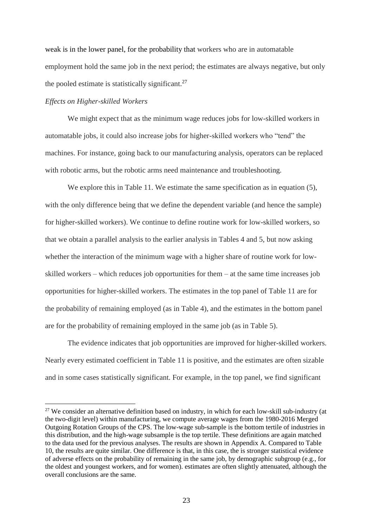weak is in the lower panel, for the probability that workers who are in automatable employment hold the same job in the next period; the estimates are always negative, but only the pooled estimate is statistically significant.<sup>27</sup>

## *Effects on Higher-skilled Workers*

1

We might expect that as the minimum wage reduces jobs for low-skilled workers in automatable jobs, it could also increase jobs for higher-skilled workers who "tend" the machines. For instance, going back to our manufacturing analysis, operators can be replaced with robotic arms, but the robotic arms need maintenance and troubleshooting.

We explore this in Table 11. We estimate the same specification as in equation (5), with the only difference being that we define the dependent variable (and hence the sample) for higher-skilled workers). We continue to define routine work for low-skilled workers, so that we obtain a parallel analysis to the earlier analysis in Tables 4 and 5, but now asking whether the interaction of the minimum wage with a higher share of routine work for lowskilled workers – which reduces job opportunities for them – at the same time increases job opportunities for higher-skilled workers. The estimates in the top panel of Table 11 are for the probability of remaining employed (as in Table 4), and the estimates in the bottom panel are for the probability of remaining employed in the same job (as in Table 5).

The evidence indicates that job opportunities are improved for higher-skilled workers. Nearly every estimated coefficient in Table 11 is positive, and the estimates are often sizable and in some cases statistically significant. For example, in the top panel, we find significant

 $27$  We consider an alternative definition based on industry, in which for each low-skill sub-industry (at the two-digit level) within manufacturing, we compute average wages from the 1980-2016 Merged Outgoing Rotation Groups of the CPS. The low-wage sub-sample is the bottom tertile of industries in this distribution, and the high-wage subsample is the top tertile. These definitions are again matched to the data used for the previous analyses. The results are shown in Appendix A. Compared to Table 10, the results are quite similar. One difference is that, in this case, the is stronger statistical evidence of adverse effects on the probability of remaining in the same job, by demographic subgroup (e.g., for the oldest and youngest workers, and for women). estimates are often slightly attenuated, although the overall conclusions are the same.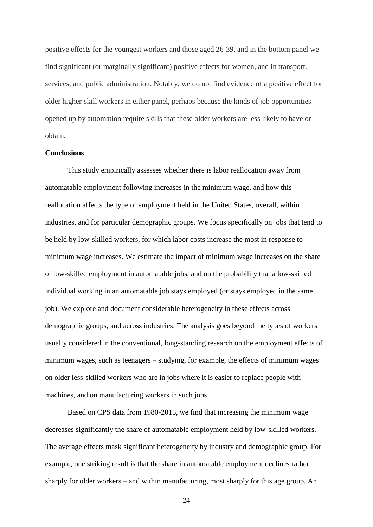positive effects for the youngest workers and those aged 26-39, and in the bottom panel we find significant (or marginally significant) positive effects for women, and in transport, services, and public administration. Notably, we do not find evidence of a positive effect for older higher-skill workers in either panel, perhaps because the kinds of job opportunities opened up by automation require skills that these older workers are less likely to have or obtain.

#### **Conclusions**

This study empirically assesses whether there is labor reallocation away from automatable employment following increases in the minimum wage, and how this reallocation affects the type of employment held in the United States, overall, within industries, and for particular demographic groups. We focus specifically on jobs that tend to be held by low-skilled workers, for which labor costs increase the most in response to minimum wage increases. We estimate the impact of minimum wage increases on the share of low-skilled employment in automatable jobs, and on the probability that a low-skilled individual working in an automatable job stays employed (or stays employed in the same job). We explore and document considerable heterogeneity in these effects across demographic groups, and across industries. The analysis goes beyond the types of workers usually considered in the conventional, long-standing research on the employment effects of minimum wages, such as teenagers – studying, for example, the effects of minimum wages on older less-skilled workers who are in jobs where it is easier to replace people with machines, and on manufacturing workers in such jobs.

Based on CPS data from 1980-2015, we find that increasing the minimum wage decreases significantly the share of automatable employment held by low-skilled workers. The average effects mask significant heterogeneity by industry and demographic group. For example, one striking result is that the share in automatable employment declines rather sharply for older workers – and within manufacturing, most sharply for this age group. An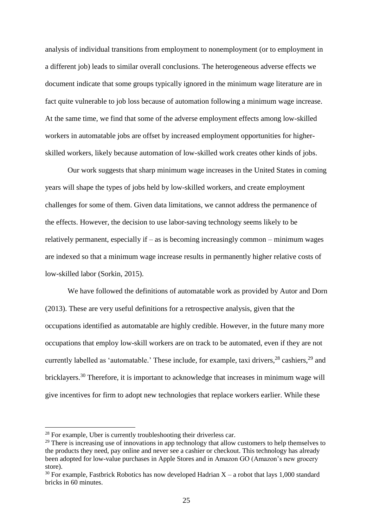analysis of individual transitions from employment to nonemployment (or to employment in a different job) leads to similar overall conclusions. The heterogeneous adverse effects we document indicate that some groups typically ignored in the minimum wage literature are in fact quite vulnerable to job loss because of automation following a minimum wage increase. At the same time, we find that some of the adverse employment effects among low-skilled workers in automatable jobs are offset by increased employment opportunities for higherskilled workers, likely because automation of low-skilled work creates other kinds of jobs.

Our work suggests that sharp minimum wage increases in the United States in coming years will shape the types of jobs held by low-skilled workers, and create employment challenges for some of them. Given data limitations, we cannot address the permanence of the effects. However, the decision to use labor-saving technology seems likely to be relatively permanent, especially if – as is becoming increasingly common – minimum wages are indexed so that a minimum wage increase results in permanently higher relative costs of low-skilled labor (Sorkin, 2015).

We have followed the definitions of automatable work as provided by Autor and Dorn (2013). These are very useful definitions for a retrospective analysis, given that the occupations identified as automatable are highly credible. However, in the future many more occupations that employ low-skill workers are on track to be automated, even if they are not currently labelled as 'automatable.' These include, for example, taxi drivers,<sup>28</sup> cashiers,<sup>29</sup> and bricklayers.<sup>30</sup> Therefore, it is important to acknowledge that increases in minimum wage will give incentives for firm to adopt new technologies that replace workers earlier. While these

<sup>&</sup>lt;sup>28</sup> For example, Uber is currently troubleshooting their driverless car.

<sup>&</sup>lt;sup>29</sup> There is increasing use of innovations in app technology that allow customers to help themselves to the products they need, pay online and never see a cashier or checkout. This technology has already been adopted for low-value purchases in Apple Stores and in Amazon GO (Amazon's new grocery store).

<sup>&</sup>lt;sup>30</sup> For example, Fastbrick Robotics has now developed Hadrian  $X - a$  robot that lays 1,000 standard bricks in 60 minutes.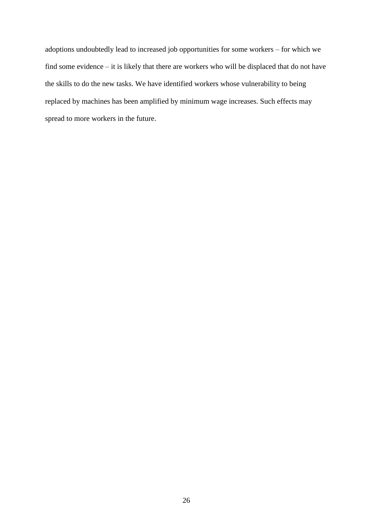adoptions undoubtedly lead to increased job opportunities for some workers – for which we find some evidence – it is likely that there are workers who will be displaced that do not have the skills to do the new tasks. We have identified workers whose vulnerability to being replaced by machines has been amplified by minimum wage increases. Such effects may spread to more workers in the future.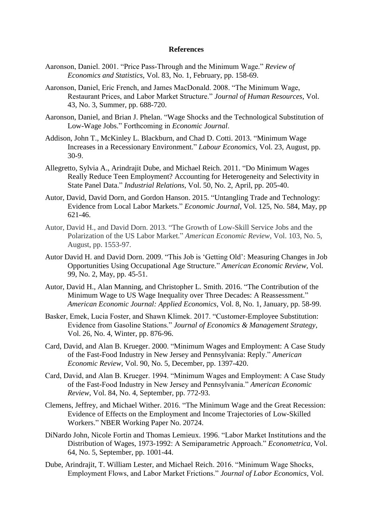## **References**

- Aaronson, Daniel. 2001. "Price Pass-Through and the Minimum Wage." *Review of Economics and Statistics*, Vol. 83, No. 1, February, pp. 158-69.
- Aaronson, Daniel, Eric French, and James MacDonald. 2008. "The Minimum Wage, Restaurant Prices, and Labor Market Structure." *Journal of Human Resources*, Vol. 43, No. 3, Summer, pp. 688-720.
- Aaronson, Daniel, and Brian J. Phelan. "Wage Shocks and the Technological Substitution of Low-Wage Jobs." Forthcoming in *Economic Journal*.
- Addison, John T., McKinley L. Blackburn, and Chad D. Cotti. 2013. "Minimum Wage Increases in a Recessionary Environment." *Labour Economics*, Vol. 23, August, pp. 30-9.
- Allegretto, Sylvia A., Arindrajit Dube, and Michael Reich. 2011. "Do Minimum Wages Really Reduce Teen Employment? Accounting for Heterogeneity and Selectivity in State Panel Data." *Industrial Relations*, Vol. 50, No. 2, April, pp. 205-40.
- Autor, David, David Dorn, and Gordon Hanson. 2015. "Untangling Trade and Technology: Evidence from Local Labor Markets." *Economic Journal*, Vol. 125, No. 584, May, pp 621-46.
- Autor, David H., and David Dorn. 2013. "The Growth of Low-Skill Service Jobs and the Polarization of the US Labor Market." *American Economic Review*, Vol. 103, No. 5, August, pp. 1553-97.
- Autor David H. and David Dorn. 2009. "This Job is 'Getting Old': Measuring Changes in Job Opportunities Using Occupational Age Structure." *American Economic Review,* Vol. 99, No. 2, May, pp. 45-51.
- Autor, David H., Alan Manning, and Christopher L. Smith. 2016. "The Contribution of the Minimum Wage to US Wage Inequality over Three Decades: A Reassessment." *American Economic Journal: Applied Economics*, Vol. 8, No. 1, January, pp. 58-99.
- Basker, Emek, Lucia Foster, and Shawn Klimek. 2017. "Customer-Employee Substitution: Evidence from Gasoline Stations." *Journal of Economics & Management Strategy*, Vol. 26, No. 4, Winter, pp. 876-96.
- Card, David, and Alan B. Krueger. 2000. "Minimum Wages and Employment: A Case Study of the Fast-Food Industry in New Jersey and Pennsylvania: Reply." *American Economic Review*, Vol. 90, No. 5, December, pp. 1397-420.
- Card, David, and Alan B. Krueger. 1994. "Minimum Wages and Employment: A Case Study of the Fast-Food Industry in New Jersey and Pennsylvania." *American Economic Review*, Vol. 84, No. 4, September, pp. 772-93.
- Clemens, Jeffrey, and Michael Wither. 2016. "The Minimum Wage and the Great Recession: Evidence of Effects on the Employment and Income Trajectories of Low-Skilled Workers." NBER Working Paper No. 20724.
- DiNardo John, Nicole Fortin and Thomas Lemieux. 1996. "Labor Market Institutions and the Distribution of Wages, 1973-1992: A Semiparametric Approach." *Econometrica*, Vol. 64, No. 5, September, pp. 1001-44.
- Dube, Arindrajit, T. William Lester, and Michael Reich. 2016. "Minimum Wage Shocks, Employment Flows, and Labor Market Frictions." *Journal of Labor Economics*, Vol.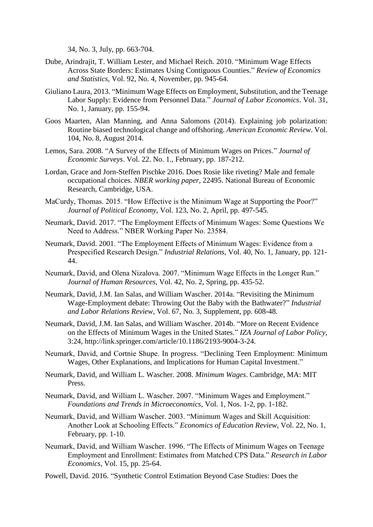34, No. 3, July, pp. 663-704.

- Dube, Arindrajit, T. William Lester, and Michael Reich. 2010. "Minimum Wage Effects Across State Borders: Estimates Using Contiguous Counties." *Review of Economics and Statistics*, Vol. 92, No. 4, November, pp. 945-64.
- Giuliano Laura, 2013. "Minimum Wage Effects on Employment, Substitution, and the Teenage Labor Supply: Evidence from Personnel Data." *Journal of Labor Economics*. Vol. 31, No. 1, January, pp. 155-94.
- Goos Maarten, Alan Manning, and Anna Salomons (2014). Explaining job polarization: Routine biased technological change and offshoring. *American Economic Review*. Vol. 104, No. 8, August 2014.
- Lemos, Sara. 2008. "A Survey of the Effects of Minimum Wages on Prices." *Journal of Economic Surveys*. Vol. 22. No. 1., February, pp. 187-212.
- Lordan, Grace and Jorn-Steffen Pischke 2016. Does Rosie like riveting? Male and female occupational choices. *NBER working paper,* 22495. National Bureau of Economic Research, Cambridge, USA.
- MaCurdy, Thomas. 2015. "How Effective is the Minimum Wage at Supporting the Poor?" *Journal of Political Economy*, Vol. 123, No. 2, April, pp. 497-545.
- Neumark, David. 2017. "The Employment Effects of Minimum Wages: Some Questions We Need to Address." NBER Working Paper No. 23584.
- Neumark, David. 2001. "The Employment Effects of Minimum Wages: Evidence from a Prespecified Research Design." *Industrial Relations*, Vol. 40, No. 1, January, pp. 121- 44.
- Neumark, David, and Olena Nizalova. 2007. "Minimum Wage Effects in the Longer Run." *Journal of Human Resources*, Vol. 42, No. 2, Spring, pp. 435-52.
- Neumark, David, J.M. Ian Salas, and William Wascher. 2014a. "Revisiting the Minimum Wage-Employment debate: Throwing Out the Baby with the Bathwater?" *Industrial and Labor Relations Review*, Vol. 67, No. 3, Supplement, pp. 608-48.
- Neumark, David, J.M. Ian Salas, and William Wascher. 2014b. "More on Recent Evidence on the Effects of Minimum Wages in the United States." *IZA Journal of Labor Policy*, 3:24, http://link.springer.com/article/10.1186/2193-9004-3-24.
- Neumark, David, and Cortnie Shupe. In progress. "Declining Teen Employment: Minimum Wages, Other Explanations, and Implications for Human Capital Investment."
- Neumark, David, and William L. Wascher. 2008. *Minimum Wages*. Cambridge, MA: MIT Press.
- Neumark, David, and William L. Wascher. 2007. "Minimum Wages and Employment." *Foundations and Trends in Microeconomics*, Vol. 1, Nos. 1-2, pp. 1-182.
- Neumark, David, and William Wascher. 2003. "Minimum Wages and Skill Acquisition: Another Look at Schooling Effects." *Economics of Education Review*, Vol. 22, No. 1, February, pp. 1-10.
- Neumark, David, and William Wascher. 1996. "The Effects of Minimum Wages on Teenage Employment and Enrollment: Estimates from Matched CPS Data." *Research in Labor Economics*, Vol. 15, pp. 25-64.
- Powell, David. 2016. "Synthetic Control Estimation Beyond Case Studies: Does the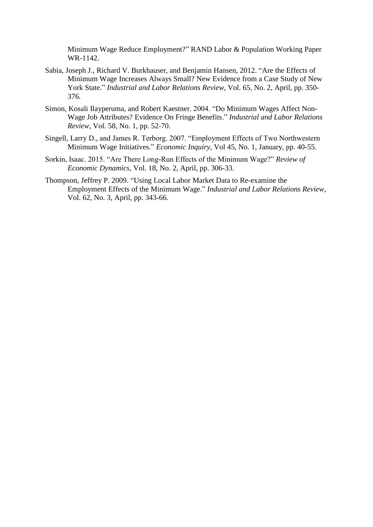Minimum Wage Reduce Employment?" RAND Labor & Population Working Paper WR-1142.

- Sabia, Joseph J., Richard V. Burkhauser, and Benjamin Hansen, 2012. "Are the Effects of Minimum Wage Increases Always Small? New Evidence from a Case Study of New York State." *Industrial and Labor Relations Review*, Vol. 65, No. 2, April, pp. 350- 376.
- Simon, Kosali Ilayperuma, and Robert Kaestner. 2004. "Do Minimum Wages Affect Non-Wage Job Attributes? Evidence On Fringe Benefits." *Industrial and Labor Relations Review*, Vol. 58, No. 1, pp. 52-70.
- Singell, Larry D., and James R. Terborg. 2007. "Employment Effects of Two Northwestern Minimum Wage Initiatives." *Economic Inquiry*, Vol 45, No. 1, January, pp. 40-55.
- Sorkin, Isaac. 2015. "Are There Long-Run Effects of the Minimum Wage?" *Review of Economic Dynamics*, Vol. 18, No. 2, April, pp. 306-33.
- Thompson, Jeffrey P. 2009. "Using Local Labor Market Data to Re-examine the Employment Effects of the Minimum Wage." *Industrial and Labor Relations Review*, Vol. 62, No. 3, April, pp. 343-66.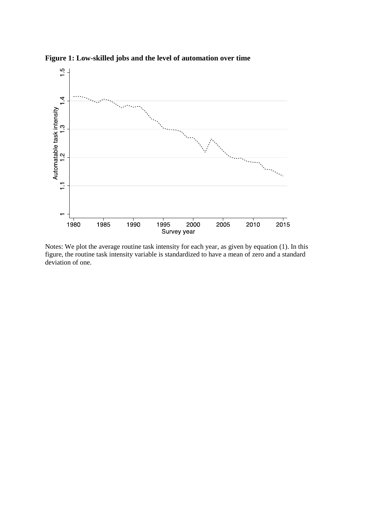

**Figure 1: Low-skilled jobs and the level of automation over time** 

Notes: We plot the average routine task intensity for each year, as given by equation (1). In this figure, the routine task intensity variable is standardized to have a mean of zero and a standard deviation of one.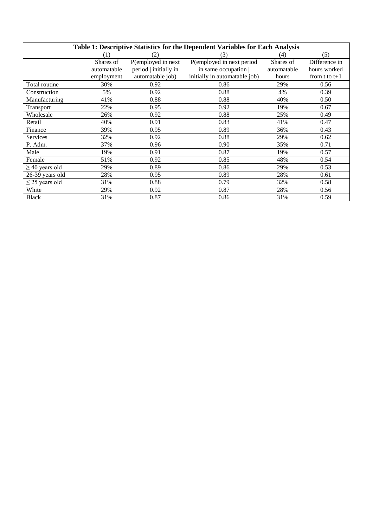|                     |             |                       | Table 1: Descriptive Statistics for the Dependent Variables for Each Analysis |             |                 |
|---------------------|-------------|-----------------------|-------------------------------------------------------------------------------|-------------|-----------------|
|                     | (1)         | (2)                   | (3)                                                                           | (4)         | (5)             |
|                     | Shares of   | P(employed in next    | P(employed in next period                                                     | Shares of   | Difference in   |
|                     | automatable | period   initially in | in same occupation                                                            | automatable | hours worked    |
|                     | employment  | automatable job)      | initially in automatable job)                                                 | hours       | from t to $t+1$ |
| Total routine       | 30%         | 0.92                  | 0.86                                                                          | 29%         | 0.56            |
| Construction        | 5%          | 0.92                  | 0.88                                                                          | 4%          | 0.39            |
| Manufacturing       | 41%         | 0.88                  | 0.88                                                                          | 40%         | 0.50            |
| Transport           | 22%         | 0.95                  | 0.92                                                                          | 19%         | 0.67            |
| Wholesale           | 26%         | 0.92                  | 0.88                                                                          | 25%         | 0.49            |
| Retail              | 40%         | 0.91                  | 0.83                                                                          | 41%         | 0.47            |
| Finance             | 39%         | 0.95                  | 0.89                                                                          | 36%         | 0.43            |
| <b>Services</b>     | 32%         | 0.92                  | 0.88                                                                          | 29%         | 0.62            |
| P. Adm.             | 37%         | 0.96                  | 0.90                                                                          | 35%         | 0.71            |
| Male                | 19%         | 0.91                  | 0.87                                                                          | 19%         | 0.57            |
| Female              | 51%         | 0.92                  | 0.85                                                                          | 48%         | 0.54            |
| $\geq$ 40 years old | 29%         | 0.89                  | 0.86                                                                          | 29%         | 0.53            |
| 26-39 years old     | 28%         | 0.95                  | 0.89                                                                          | 28%         | 0.61            |
| $\leq$ 25 years old | 31%         | 0.88                  | 0.79                                                                          | 32%         | 0.58            |
| White               | 29%         | 0.92                  | 0.87                                                                          | 28%         | 0.56            |
| <b>Black</b>        | 31%         | 0.87                  | 0.86                                                                          | 31%         | 0.59            |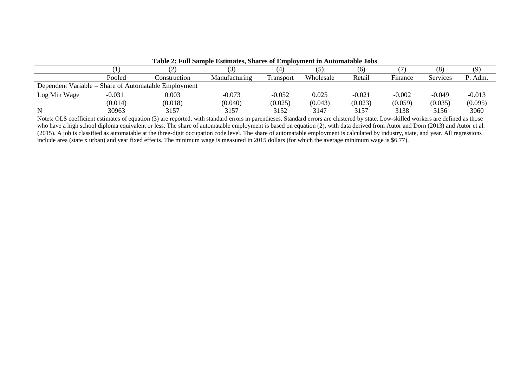| Table 2: Full Sample Estimates, Shares of Employment in Automatable Jobs                                                                                                             |          |                                                                                                                                                                                      |                      |           |               |          |          |          |          |
|--------------------------------------------------------------------------------------------------------------------------------------------------------------------------------------|----------|--------------------------------------------------------------------------------------------------------------------------------------------------------------------------------------|----------------------|-----------|---------------|----------|----------|----------|----------|
|                                                                                                                                                                                      |          | (2)                                                                                                                                                                                  |                      |           | $\mathcal{L}$ | (6)      |          | (8)      | (9)      |
|                                                                                                                                                                                      | Pooled   | Construction                                                                                                                                                                         | <b>Manufacturing</b> | Transport | Wholesale     | Retail   | Finance  | Services | P. Adm.  |
| Dependent Variable = Share of Automatable Employment                                                                                                                                 |          |                                                                                                                                                                                      |                      |           |               |          |          |          |          |
| Log Min Wage                                                                                                                                                                         | $-0.031$ | 0.003                                                                                                                                                                                | $-0.073$             | $-0.052$  | 0.025         | $-0.021$ | $-0.002$ | $-0.049$ | $-0.013$ |
|                                                                                                                                                                                      | (0.014)  | (0.018)                                                                                                                                                                              | (0.040)              | (0.025)   | (0.043)       | (0.023)  | (0.059)  | (0.035)  | (0.095)  |
| $\mathbf N$                                                                                                                                                                          | 30963    | 3157                                                                                                                                                                                 | 3157                 | 3152      | 3147          | 3157     | 3138     | 3156     | 3060     |
|                                                                                                                                                                                      |          | Notes: OLS coefficient estimates of equation (3) are reported, with standard errors in parentheses. Standard errors are clustered by state. Low-skilled workers are defined as those |                      |           |               |          |          |          |          |
|                                                                                                                                                                                      |          | who have a high school diploma equivalent or less. The share of automatable employment is based on equation (2), with data derived from Autor and Dorn (2013) and Autor et al.       |                      |           |               |          |          |          |          |
| (2015). A job is classified as automatable at the three-digit occupation code level. The share of automatable employment is calculated by industry, state, and year. All regressions |          |                                                                                                                                                                                      |                      |           |               |          |          |          |          |
|                                                                                                                                                                                      |          | include area (state x urban) and year fixed effects. The minimum wage is measured in 2015 dollars (for which the average minimum wage is \$6.77).                                    |                      |           |               |          |          |          |          |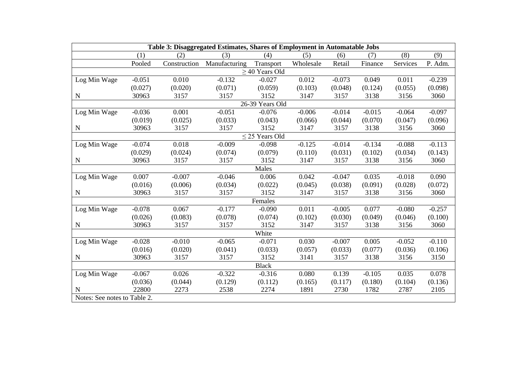| Table 3: Disaggregated Estimates, Shares of Employment in Automatable Jobs |          |              |               |                     |           |          |          |          |          |
|----------------------------------------------------------------------------|----------|--------------|---------------|---------------------|-----------|----------|----------|----------|----------|
|                                                                            | (1)      | (2)          | (3)           | (4)                 | (5)       | (6)      | (7)      | (8)      | (9)      |
|                                                                            | Pooled   | Construction | Manufacturing | Transport           | Wholesale | Retail   | Finance  | Services | P. Adm.  |
|                                                                            |          |              |               | $\geq$ 40 Years Old |           |          |          |          |          |
| Log Min Wage                                                               | $-0.051$ | 0.010        | $-0.132$      | $-0.027$            | 0.012     | $-0.073$ | 0.049    | 0.011    | $-0.239$ |
|                                                                            | (0.027)  | (0.020)      | (0.071)       | (0.059)             | (0.103)   | (0.048)  | (0.124)  | (0.055)  | (0.098)  |
| N                                                                          | 30963    | 3157         | 3157          | 3152                | 3147      | 3157     | 3138     | 3156     | 3060     |
|                                                                            |          |              |               | 26-39 Years Old     |           |          |          |          |          |
| Log Min Wage                                                               | $-0.036$ | 0.001        | $-0.051$      | $-0.076$            | $-0.006$  | $-0.014$ | $-0.015$ | $-0.064$ | $-0.097$ |
|                                                                            | (0.019)  | (0.025)      | (0.033)       | (0.043)             | (0.066)   | (0.044)  | (0.070)  | (0.047)  | (0.096)  |
| ${\bf N}$                                                                  | 30963    | 3157         | 3157          | 3152                | 3147      | 3157     | 3138     | 3156     | 3060     |
|                                                                            |          |              |               | $\leq$ 25 Years Old |           |          |          |          |          |
| Log Min Wage                                                               | $-0.074$ | 0.018        | $-0.009$      | $-0.098$            | $-0.125$  | $-0.014$ | $-0.134$ | $-0.088$ | $-0.113$ |
|                                                                            | (0.029)  | (0.024)      | (0.074)       | (0.079)             | (0.110)   | (0.031)  | (0.102)  | (0.034)  | (0.143)  |
| N                                                                          | 30963    | 3157         | 3157          | 3152                | 3147      | 3157     | 3138     | 3156     | 3060     |
|                                                                            |          |              |               | Males               |           |          |          |          |          |
| Log Min Wage                                                               | 0.007    | $-0.007$     | $-0.046$      | 0.006               | 0.042     | $-0.047$ | 0.035    | $-0.018$ | 0.090    |
|                                                                            | (0.016)  | (0.006)      | (0.034)       | (0.022)             | (0.045)   | (0.038)  | (0.091)  | (0.028)  | (0.072)  |
| ${\bf N}$                                                                  | 30963    | 3157         | 3157          | 3152                | 3147      | 3157     | 3138     | 3156     | 3060     |
|                                                                            |          |              |               | Females             |           |          |          |          |          |
| Log Min Wage                                                               | $-0.078$ | 0.067        | $-0.177$      | $-0.090$            | 0.011     | $-0.005$ | 0.077    | $-0.080$ | $-0.257$ |
|                                                                            | (0.026)  | (0.083)      | (0.078)       | (0.074)             | (0.102)   | (0.030)  | (0.049)  | (0.046)  | (0.100)  |
| ${\bf N}$                                                                  | 30963    | 3157         | 3157          | 3152                | 3147      | 3157     | 3138     | 3156     | 3060     |
|                                                                            |          |              |               | White               |           |          |          |          |          |
| Log Min Wage                                                               | $-0.028$ | $-0.010$     | $-0.065$      | $-0.071$            | 0.030     | $-0.007$ | 0.005    | $-0.052$ | $-0.110$ |
|                                                                            | (0.016)  | (0.020)      | (0.041)       | (0.033)             | (0.057)   | (0.033)  | (0.077)  | (0.036)  | (0.106)  |
| ${\bf N}$                                                                  | 30963    | 3157         | 3157          | 3152                | 3141      | 3157     | 3138     | 3156     | 3150     |
|                                                                            |          |              |               | <b>Black</b>        |           |          |          |          |          |
| Log Min Wage                                                               | $-0.067$ | 0.026        | $-0.322$      | $-0.316$            | 0.080     | 0.139    | $-0.105$ | 0.035    | 0.078    |
|                                                                            | (0.036)  | (0.044)      | (0.129)       | (0.112)             | (0.165)   | (0.117)  | (0.180)  | (0.104)  | (0.136)  |
| N                                                                          | 22800    | 2273         | 2538          | 2274                | 1891      | 2730     | 1782     | 2787     | 2105     |
| Notes: See notes to Table 2.                                               |          |              |               |                     |           |          |          |          |          |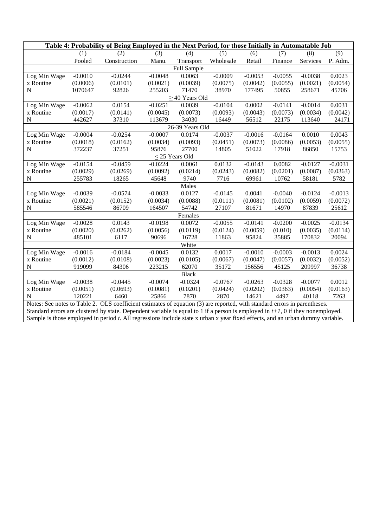|              |           | Table 4: Probability of Being Employed in the Next Period, for those Initially in Automatable Job                         |           |                     |           |           |           |           |           |
|--------------|-----------|---------------------------------------------------------------------------------------------------------------------------|-----------|---------------------|-----------|-----------|-----------|-----------|-----------|
|              | (1)       | (2)                                                                                                                       | (3)       | (4)                 | (5)       | (6)       | (7)       | (8)       | (9)       |
|              | Pooled    | Construction                                                                                                              | Manu.     | Transport           | Wholesale | Retail    | Finance   | Services  | P. Adm.   |
|              |           |                                                                                                                           |           | Full Sample         |           |           |           |           |           |
| Log Min Wage | $-0.0010$ | $-0.0244$                                                                                                                 | $-0.0048$ | 0.0063              | $-0.0009$ | $-0.0053$ | $-0.0055$ | $-0.0038$ | 0.0023    |
| x Routine    | (0.0006)  | (0.0101)                                                                                                                  | (0.0021)  | (0.0039)            | (0.0075)  | (0.0042)  | (0.0055)  | (0.0021)  | (0.0054)  |
| ${\bf N}$    | 1070647   | 92826                                                                                                                     | 255203    | 71470               | 38970     | 177495    | 50855     | 258671    | 45706     |
|              |           |                                                                                                                           |           | $\geq$ 40 Years Old |           |           |           |           |           |
| Log Min Wage | $-0.0062$ | 0.0154                                                                                                                    | $-0.0251$ | 0.0039              | $-0.0104$ | 0.0002    | $-0.0141$ | $-0.0014$ | 0.0031    |
| x Routine    | (0.0017)  | (0.0141)                                                                                                                  | (0.0045)  | (0.0073)            | (0.0093)  | (0.0043)  | (0.0073)  | (0.0034)  | (0.0042)  |
| N            | 442627    | 37310                                                                                                                     | 113679    | 34030               | 16449     | 56512     | 22175     | 113640    | 24171     |
|              |           |                                                                                                                           |           | 26-39 Years Old     |           |           |           |           |           |
| Log Min Wage | $-0.0004$ | $-0.0254$                                                                                                                 | $-0.0007$ | 0.0174              | $-0.0037$ | $-0.0016$ | $-0.0164$ | 0.0010    | 0.0043    |
| x Routine    | (0.0018)  | (0.0162)                                                                                                                  | (0.0034)  | (0.0093)            | (0.0451)  | (0.0073)  | (0.0086)  | (0.0053)  | (0.0055)  |
| N            | 372237    | 37251                                                                                                                     | 95876     | 27700               | 14805     | 51022     | 17918     | 86850     | 15753     |
|              |           |                                                                                                                           |           | $\leq$ 25 Years Old |           |           |           |           |           |
| Log Min Wage | $-0.0154$ | $-0.0459$                                                                                                                 | $-0.0224$ | 0.0061              | 0.0132    | $-0.0143$ | 0.0082    | $-0.0127$ | $-0.0031$ |
| x Routine    | (0.0029)  | (0.0269)                                                                                                                  | (0.0092)  | (0.0214)            | (0.0243)  | (0.0082)  | (0.0201)  | (0.0087)  | (0.0363)  |
| N            | 255783    | 18265                                                                                                                     | 45648     | 9740                | 7716      | 69961     | 10762     | 58181     | 5782      |
|              |           |                                                                                                                           |           | Males               |           |           |           |           |           |
| Log Min Wage | $-0.0039$ | $-0.0574$                                                                                                                 | $-0.0033$ | 0.0127              | $-0.0145$ | 0.0041    | $-0.0040$ | $-0.0124$ | $-0.0013$ |
| x Routine    | (0.0021)  | (0.0152)                                                                                                                  | (0.0034)  | (0.0088)            | (0.0111)  | (0.0081)  | (0.0102)  | (0.0059)  | (0.0072)  |
| N            | 585546    | 86709                                                                                                                     | 164507    | 54742               | 27107     | 81671     | 14970     | 87839     | 25612     |
|              |           |                                                                                                                           |           | Females             |           |           |           |           |           |
| Log Min Wage | $-0.0028$ | 0.0143                                                                                                                    | $-0.0198$ | 0.0072              | $-0.0055$ | $-0.0141$ | $-0.0200$ | $-0.0025$ | $-0.0134$ |
| x Routine    | (0.0020)  | (0.0262)                                                                                                                  | (0.0056)  | (0.0119)            | (0.0124)  | (0.0059)  | (0.010)   | (0.0035)  | (0.0114)  |
| N            | 485101    | 6117                                                                                                                      | 90696     | 16728               | 11863     | 95824     | 35885     | 170832    | 20094     |
|              |           |                                                                                                                           |           | White               |           |           |           |           |           |
| Log Min Wage | $-0.0016$ | $-0.0184$                                                                                                                 | $-0.0045$ | 0.0132              | 0.0017    | $-0.0010$ | $-0.0003$ | $-0.0013$ | 0.0024    |
| x Routine    | (0.0012)  | (0.0108)                                                                                                                  | (0.0023)  | (0.0105)            | (0.0067)  | (0.0047)  | (0.0057)  | (0.0032)  | (0.0052)  |
| N            | 919099    | 84306                                                                                                                     | 223215    | 62070               | 35172     | 156556    | 45125     | 209997    | 36738     |
|              |           |                                                                                                                           |           | <b>Black</b>        |           |           |           |           |           |
| Log Min Wage | $-0.0038$ | $-0.0445$                                                                                                                 | $-0.0074$ | $-0.0324$           | $-0.0767$ | $-0.0263$ | $-0.0328$ | $-0.0077$ | 0.0012    |
| x Routine    | (0.0051)  | (0.0693)                                                                                                                  | (0.0081)  | (0.0201)            | (0.0424)  | (0.0202)  | (0.0363)  | (0.0054)  | (0.0163)  |
| N            | 120221    | 6460                                                                                                                      | 25866     | 7870                | 2870      | 14621     | 4497      | 40118     | 7263      |
|              |           | Notes: See notes to Table 2. OLS coefficient estimates of equation (3) are reported, with standard errors in parentheses. |           |                     |           |           |           |           |           |

Standard errors are clustered by state. Dependent variable is equal to 1 if a person is employed in *t+1*, 0 if they nonemployed. Sample is those employed in period *t*. All regressions include state x urban x year fixed effects, and an urban dummy variable.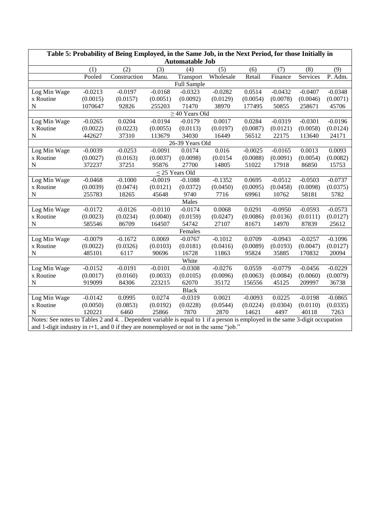|                                                                                                                               | Table 5: Probability of Being Employed, in the Same Job, in the Next Period, for those Initially in |              |           |                        |           |           |           |           |           |
|-------------------------------------------------------------------------------------------------------------------------------|-----------------------------------------------------------------------------------------------------|--------------|-----------|------------------------|-----------|-----------|-----------|-----------|-----------|
|                                                                                                                               |                                                                                                     |              |           | <b>Automatable Job</b> |           |           |           |           |           |
|                                                                                                                               | (1)                                                                                                 | (2)          | (3)       | (4)                    | (5)       | (6)       | (7)       | (8)       | (9)       |
|                                                                                                                               | Pooled                                                                                              | Construction | Manu.     | Transport              | Wholesale | Retail    | Finance   | Services  | P. Adm.   |
|                                                                                                                               |                                                                                                     |              |           | Full Sample            |           |           |           |           |           |
| Log Min Wage                                                                                                                  | $-0.0213$                                                                                           | $-0.0197$    | $-0.0168$ | $-0.0323$              | $-0.0282$ | 0.0514    | $-0.0432$ | $-0.0407$ | $-0.0348$ |
| x Routine                                                                                                                     | (0.0015)                                                                                            | (0.0157)     | (0.0051)  | (0.0092)               | (0.0129)  | (0.0054)  | (0.0078)  | (0.0046)  | (0.0071)  |
| N                                                                                                                             | 1070647                                                                                             | 92826        | 255203    | 71470                  | 38970     | 177495    | 50855     | 258671    | 45706     |
|                                                                                                                               | $\geq$ 40 Years Old                                                                                 |              |           |                        |           |           |           |           |           |
| Log Min Wage                                                                                                                  | $-0.0265$                                                                                           | 0.0204       | $-0.0194$ | $-0.0179$              | 0.0017    | 0.0284    | $-0.0319$ | $-0.0301$ | $-0.0196$ |
| x Routine                                                                                                                     | (0.0022)                                                                                            | (0.0223)     | (0.0055)  | (0.0113)               | (0.0197)  | (0.0087)  | (0.0121)  | (0.0058)  | (0.0124)  |
| N                                                                                                                             | 442627                                                                                              | 37310        | 113679    | 34030                  | 16449     | 56512     | 22175     | 113640    | 24171     |
|                                                                                                                               |                                                                                                     |              |           | 26-39 Years Old        |           |           |           |           |           |
| Log Min Wage                                                                                                                  | $-0.0039$                                                                                           | $-0.0253$    | $-0.0091$ | 0.0174                 | 0.016     | $-0.0025$ | $-0.0165$ | 0.0013    | 0.0093    |
| x Routine                                                                                                                     | (0.0027)                                                                                            | (0.0163)     | (0.0037)  | (0.0098)               | (0.0154)  | (0.0088)  | (0.0091)  | (0.0054)  | (0.0082)  |
| N                                                                                                                             | 372237                                                                                              | 37251        | 95876     | 27700                  | 14805     | 51022     | 17918     | 86850     | 15753     |
|                                                                                                                               |                                                                                                     |              |           | $\leq$ 25 Years Old    |           |           |           |           |           |
| Log Min Wage                                                                                                                  | $-0.0468$                                                                                           | $-0.1000$    | $-0.0019$ | $-0.1088$              | $-0.1352$ | 0.0695    | $-0.0512$ | $-0.0503$ | $-0.0737$ |
| x Routine                                                                                                                     | (0.0039)                                                                                            | (0.0474)     | (0.0121)  | (0.0372)               | (0.0450)  | (0.0095)  | (0.0458)  | (0.0098)  | (0.0375)  |
| N                                                                                                                             | 255783                                                                                              | 18265        | 45648     | 9740                   | 7716      | 69961     | 10762     | 58181     | 5782      |
|                                                                                                                               |                                                                                                     |              |           | Males                  |           |           |           |           |           |
| Log Min Wage                                                                                                                  | $-0.0172$                                                                                           | $-0.0126$    | $-0.0110$ | $-0.0174$              | 0.0068    | 0.0291    | $-0.0950$ | $-0.0593$ | $-0.0573$ |
| x Routine                                                                                                                     | (0.0023)                                                                                            | (0.0234)     | (0.0040)  | (0.0159)               | (0.0247)  | (0.0086)  | (0.0136)  | (0.0111)  | (0.0127)  |
| N                                                                                                                             | 585546                                                                                              | 86709        | 164507    | 54742                  | 27107     | 81671     | 14970     | 87839     | 25612     |
|                                                                                                                               |                                                                                                     |              |           | Females                |           |           |           |           |           |
| Log Min Wage                                                                                                                  | $-0.0079$                                                                                           | $-0.1672$    | 0.0069    | $-0.0767$              | $-0.1012$ | 0.0709    | $-0.0943$ | $-0.0257$ | $-0.1096$ |
| x Routine                                                                                                                     | (0.0022)                                                                                            | (0.0326)     | (0.0103)  | (0.0181)               | (0.0416)  | (0.0089)  | (0.0193)  | (0.0047)  | (0.0127)  |
| N                                                                                                                             | 485101                                                                                              | 6117         | 90696     | 16728                  | 11863     | 95824     | 35885     | 170832    | 20094     |
|                                                                                                                               |                                                                                                     |              |           | White                  |           |           |           |           |           |
| Log Min Wage                                                                                                                  | $-0.0152$                                                                                           | $-0.0191$    | $-0.0101$ | $-0.0308$              | $-0.0276$ | 0.0559    | $-0.0779$ | $-0.0456$ | $-0.0229$ |
| x Routine                                                                                                                     | (0.0017)                                                                                            | (0.0160)     | (0.0033)  | (0.0105)               | (0.0096)  | (0.0063)  | (0.0084)  | (0.0060)  | (0.0079)  |
| N                                                                                                                             | 919099                                                                                              | 84306        | 223215    | 62070                  | 35172     | 156556    | 45125     | 209997    | 36738     |
|                                                                                                                               |                                                                                                     |              |           | <b>Black</b>           |           |           |           |           |           |
| Log Min Wage                                                                                                                  | $-0.0142$                                                                                           | 0.0995       | 0.0274    | $-0.0319$              | 0.0021    | $-0.0093$ | 0.0225    | $-0.0198$ | $-0.0865$ |
| x Routine                                                                                                                     | (0.0050)                                                                                            | (0.0853)     | (0.0192)  | (0.0228)               | (0.0544)  | (0.0224)  | (0.0304)  | (0.0110)  | (0.0335)  |
| N                                                                                                                             | 120221                                                                                              | 6460         | 25866     | 7870                   | 2870      | 14621     | 4497      | 40118     | 7263      |
| Notes: See notes to Tables 2 and 4. . Dependent variable is equal to 1 if a person is employed in the same 3-digit occupation |                                                                                                     |              |           |                        |           |           |           |           |           |
| and 1-digit industry in $t+1$ , and 0 if they are nonemployed or not in the same "job."                                       |                                                                                                     |              |           |                        |           |           |           |           |           |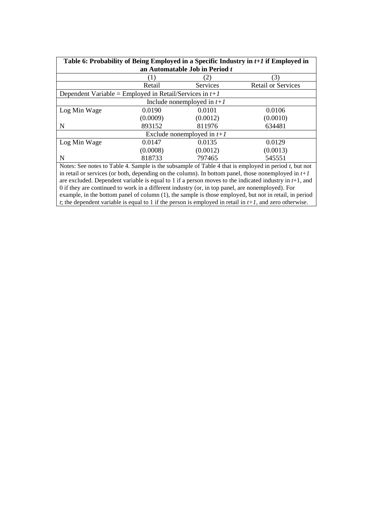|                                                           | Table 6: Probability of Being Employed in a Specific Industry in t+1 if Employed in                      |                              |                                                                                                       |  |  |  |  |  |  |
|-----------------------------------------------------------|----------------------------------------------------------------------------------------------------------|------------------------------|-------------------------------------------------------------------------------------------------------|--|--|--|--|--|--|
| an Automatable Job in Period t                            |                                                                                                          |                              |                                                                                                       |  |  |  |  |  |  |
|                                                           |                                                                                                          | 2)                           | (3)                                                                                                   |  |  |  |  |  |  |
|                                                           | Retail                                                                                                   | Services                     | <b>Retail or Services</b>                                                                             |  |  |  |  |  |  |
| Dependent Variable = Employed in Retail/Services in $t+1$ |                                                                                                          |                              |                                                                                                       |  |  |  |  |  |  |
|                                                           | Include nonemployed in $t+1$                                                                             |                              |                                                                                                       |  |  |  |  |  |  |
| Log Min Wage                                              | 0.0190                                                                                                   | 0.0101                       | 0.0106                                                                                                |  |  |  |  |  |  |
|                                                           | (0.0009)                                                                                                 | (0.0012)                     | (0.0010)                                                                                              |  |  |  |  |  |  |
| N                                                         | 893152                                                                                                   | 811976                       | 634481                                                                                                |  |  |  |  |  |  |
|                                                           |                                                                                                          | Exclude nonemployed in $t+1$ |                                                                                                       |  |  |  |  |  |  |
| Log Min Wage                                              | 0.0147                                                                                                   | 0.0135                       | 0.0129                                                                                                |  |  |  |  |  |  |
|                                                           | (0.0008)                                                                                                 | (0.0012)                     | (0.0013)                                                                                              |  |  |  |  |  |  |
| N                                                         | 818733                                                                                                   | 797465                       | 545551                                                                                                |  |  |  |  |  |  |
|                                                           | Notes: See notes to Table 4. Sample is the subsample of Table 4 that is employed in period $t$ , but not |                              |                                                                                                       |  |  |  |  |  |  |
|                                                           |                                                                                                          |                              | in retail or services (or both, depending on the column). In bottom panel, those nonemployed in $t+1$ |  |  |  |  |  |  |

in retail or services (or both, depending on the column). In bottom panel, those nonemployed in *t+1*  are excluded. Dependent variable is equal to 1 if a person moves to the indicated industry in *t*+1, and 0 if they are continued to work in a different industry (or, in top panel, are nonemployed). For example, in the bottom panel of column (1), the sample is those employed, but not in retail, in period *t*; the dependent variable is equal to 1 if the person is employed in retail in *t+1*, and zero otherwise.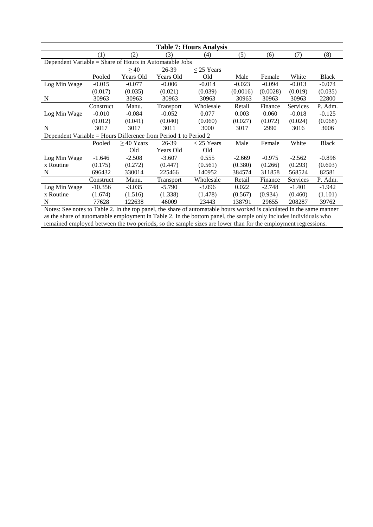|                                                                                                                       |           |                 |                  | <b>Table 7: Hours Analysis</b> |          |          |          |              |
|-----------------------------------------------------------------------------------------------------------------------|-----------|-----------------|------------------|--------------------------------|----------|----------|----------|--------------|
|                                                                                                                       | (1)       | (2)             | (3)              | (4)                            | (5)      | (6)      | (7)      | (8)          |
| Dependent Variable = Share of Hours in Automatable Jobs                                                               |           |                 |                  |                                |          |          |          |              |
|                                                                                                                       |           | $\geq 40$       | 26-39            | $<$ 25 Years                   |          |          |          |              |
|                                                                                                                       | Pooled    | Years Old       | Years Old        | Old                            | Male     | Female   | White    | <b>Black</b> |
| Log Min Wage                                                                                                          | $-0.015$  | $-0.077$        | $-0.006$         | $-0.014$                       | $-0.023$ | $-0.094$ | $-0.013$ | $-0.074$     |
|                                                                                                                       | (0.017)   | (0.035)         | (0.021)          | (0.039)                        | (0.0016) | (0.0028) | (0.019)  | (0.035)      |
| N                                                                                                                     | 30963     | 30963           | 30963            | 30963                          | 30963    | 30963    | 30963    | 22800        |
|                                                                                                                       | Construct | Manu.           | Transport        | Wholesale                      | Retail   | Finance  | Services | P. Adm.      |
| Log Min Wage                                                                                                          | $-0.010$  | $-0.084$        | $-0.052$         | 0.077                          | 0.003    | 0.060    | $-0.018$ | $-0.125$     |
|                                                                                                                       | (0.012)   | (0.041)         | (0.040)          | (0.060)                        | (0.027)  | (0.072)  | (0.024)  | (0.068)      |
| N                                                                                                                     | 3017      | 3017            | 3011             | 3000                           | 3017     | 2990     | 3016     | 3006         |
| Dependent Variable = Hours Difference from Period 1 to Period 2                                                       |           |                 |                  |                                |          |          |          |              |
|                                                                                                                       | Pooled    | $\geq$ 40 Years | 26-39            | $<$ 25 Years                   | Male     | Female   | White    | <b>Black</b> |
|                                                                                                                       |           | Old             | Years Old        | Old                            |          |          |          |              |
| Log Min Wage                                                                                                          | $-1.646$  | $-2.508$        | $-3.607$         | 0.555                          | $-2.669$ | $-0.975$ | $-2.562$ | $-0.896$     |
| x Routine                                                                                                             | (0.175)   | (0.272)         | (0.447)          | (0.561)                        | (0.380)  | (0.266)  | (0.293)  | (0.603)      |
| N                                                                                                                     | 696432    | 330014          | 225466           | 140952                         | 384574   | 311858   | 568524   | 82581        |
|                                                                                                                       | Construct | Manu.           | <b>Transport</b> | Wholesale                      | Retail   | Finance  | Services | P. Adm.      |
| Log Min Wage                                                                                                          | $-10.356$ | $-3.035$        | $-5.790$         | $-3.096$                       | 0.022    | $-2.748$ | $-1.401$ | $-1.942$     |
| x Routine                                                                                                             | (1.674)   | (1.516)         | (1.338)          | (1.478)                        | (0.567)  | (0.934)  | (0.460)  | (1.101)      |
| N                                                                                                                     | 77628     | 122638          | 46009            | 23443                          | 138791   | 29655    | 208287   | 39762        |
| Notes: See notes to Table 2. In the top panel, the share of automatable hours worked is calculated in the same manner |           |                 |                  |                                |          |          |          |              |

as the share of automatable employment in Table 2. In the bottom panel, the sample only includes individuals who remained employed between the two periods, so the sample sizes are lower than for the employment regressions.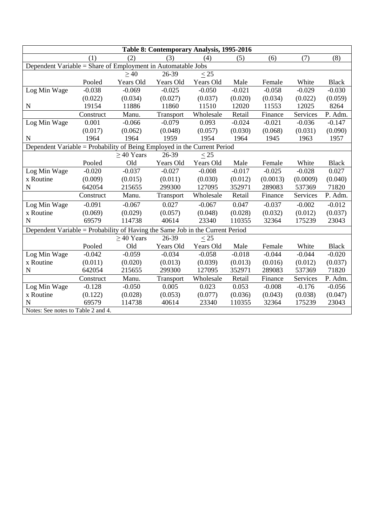|                                                                               |           |                 |           | Table 8: Contemporary Analysis, 1995-2016 |          |          |          |              |
|-------------------------------------------------------------------------------|-----------|-----------------|-----------|-------------------------------------------|----------|----------|----------|--------------|
|                                                                               | (1)       | (2)             | (3)       | (4)                                       | (5)      | (6)      | (7)      | (8)          |
| Dependent Variable = Share of Employment in Automatable Jobs                  |           |                 |           |                                           |          |          |          |              |
|                                                                               |           | $\geq 40$       | 26-39     | $<25\,$                                   |          |          |          |              |
|                                                                               | Pooled    | Years Old       | Years Old | Years Old                                 | Male     | Female   | White    | <b>Black</b> |
| Log Min Wage                                                                  | $-0.038$  | $-0.069$        | $-0.025$  | $-0.050$                                  | $-0.021$ | $-0.058$ | $-0.029$ | $-0.030$     |
|                                                                               | (0.022)   | (0.034)         | (0.027)   | (0.037)                                   | (0.020)  | (0.034)  | (0.022)  | (0.059)      |
| $\mathbf N$                                                                   | 19154     | 11886           | 11860     | 11510                                     | 12020    | 11553    | 12025    | 8264         |
|                                                                               | Construct | Manu.           | Transport | Wholesale                                 | Retail   | Finance  | Services | P. Adm.      |
| Log Min Wage                                                                  | 0.001     | $-0.066$        | $-0.079$  | 0.093                                     | $-0.024$ | $-0.021$ | $-0.036$ | $-0.147$     |
|                                                                               | (0.017)   | (0.062)         | (0.048)   | (0.057)                                   | (0.030)  | (0.068)  | (0.031)  | (0.090)      |
| $\mathbf N$                                                                   | 1964      | 1964            | 1959      | 1954                                      | 1964     | 1945     | 1963     | 1957         |
| Dependent Variable = Probability of Being Employed in the Current Period      |           |                 |           |                                           |          |          |          |              |
|                                                                               |           | $\geq$ 40 Years | 26-39     | < 25                                      |          |          |          |              |
|                                                                               | Pooled    | Old             | Years Old | Years Old                                 | Male     | Female   | White    | <b>Black</b> |
| Log Min Wage                                                                  | $-0.020$  | $-0.037$        | $-0.027$  | $-0.008$                                  | $-0.017$ | $-0.025$ | $-0.028$ | 0.027        |
| x Routine                                                                     | (0.009)   | (0.015)         | (0.011)   | (0.030)                                   | (0.012)  | (0.0013) | (0.0009) | (0.040)      |
| ${\bf N}$                                                                     | 642054    | 215655          | 299300    | 127095                                    | 352971   | 289083   | 537369   | 71820        |
|                                                                               | Construct | Manu.           | Transport | Wholesale                                 | Retail   | Finance  | Services | P. Adm.      |
| Log Min Wage                                                                  | $-0.091$  | $-0.067$        | 0.027     | $-0.067$                                  | 0.047    | $-0.037$ | $-0.002$ | $-0.012$     |
| x Routine                                                                     | (0.069)   | (0.029)         | (0.057)   | (0.048)                                   | (0.028)  | (0.032)  | (0.012)  | (0.037)      |
| N                                                                             | 69579     | 114738          | 40614     | 23340                                     | 110355   | 32364    | 175239   | 23043        |
| Dependent Variable = Probability of Having the Same Job in the Current Period |           |                 |           |                                           |          |          |          |              |
|                                                                               |           | $\geq$ 40 Years | 26-39     | $\leq 25$                                 |          |          |          |              |
|                                                                               | Pooled    | Old             | Years Old | Years Old                                 | Male     | Female   | White    | <b>Black</b> |
| Log Min Wage                                                                  | $-0.042$  | $-0.059$        | $-0.034$  | $-0.058$                                  | $-0.018$ | $-0.044$ | $-0.044$ | $-0.020$     |
| x Routine                                                                     | (0.011)   | (0.020)         | (0.013)   | (0.039)                                   | (0.013)  | (0.016)  | (0.012)  | (0.037)      |
| N                                                                             | 642054    | 215655          | 299300    | 127095                                    | 352971   | 289083   | 537369   | 71820        |
|                                                                               | Construct | Manu.           | Transport | Wholesale                                 | Retail   | Finance  | Services | P. Adm.      |
| Log Min Wage                                                                  | $-0.128$  | $-0.050$        | 0.005     | 0.023                                     | 0.053    | $-0.008$ | $-0.176$ | $-0.056$     |
| x Routine                                                                     | (0.122)   | (0.028)         | (0.053)   | (0.077)                                   | (0.036)  | (0.043)  | (0.038)  | (0.047)      |
| $\mathbf N$                                                                   | 69579     | 114738          | 40614     | 23340                                     | 110355   | 32364    | 175239   | 23043        |
| Notes: See notes to Table 2 and 4.                                            |           |                 |           |                                           |          |          |          |              |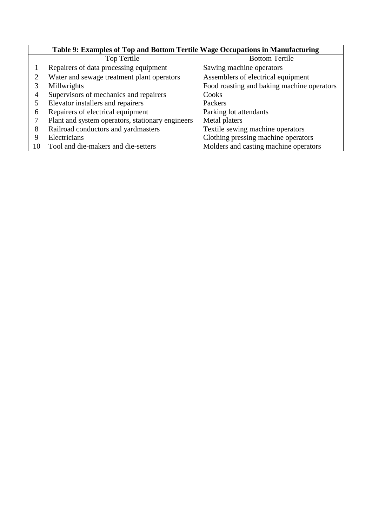|    | Table 9: Examples of Top and Bottom Tertile Wage Occupations in Manufacturing |                                            |  |  |  |  |  |  |
|----|-------------------------------------------------------------------------------|--------------------------------------------|--|--|--|--|--|--|
|    | Top Tertile                                                                   | <b>Bottom Tertile</b>                      |  |  |  |  |  |  |
|    | Repairers of data processing equipment                                        | Sawing machine operators                   |  |  |  |  |  |  |
| 2  | Water and sewage treatment plant operators                                    | Assemblers of electrical equipment         |  |  |  |  |  |  |
| 3  | Millwrights                                                                   | Food roasting and baking machine operators |  |  |  |  |  |  |
| 4  | Supervisors of mechanics and repairers                                        | Cooks                                      |  |  |  |  |  |  |
| 5  | Elevator installers and repairers                                             | Packers                                    |  |  |  |  |  |  |
| 6  | Repairers of electrical equipment                                             | Parking lot attendants                     |  |  |  |  |  |  |
|    | Plant and system operators, stationary engineers                              | Metal platers                              |  |  |  |  |  |  |
| 8  | Railroad conductors and yardmasters                                           | Textile sewing machine operators           |  |  |  |  |  |  |
| 9  | Electricians                                                                  | Clothing pressing machine operators        |  |  |  |  |  |  |
| 10 | Tool and die-makers and die-setters                                           | Molders and casting machine operators      |  |  |  |  |  |  |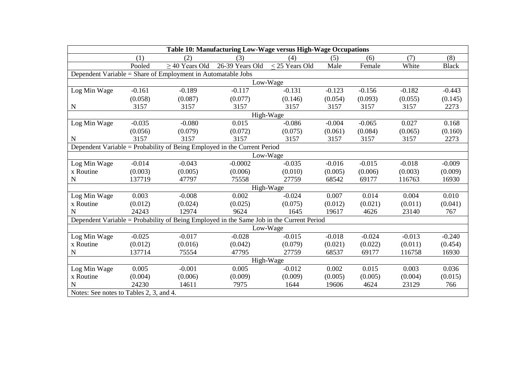|                                         |          |                                                                                          | Table 10: Manufacturing Low-Wage versus High-Wage Occupations |           |          |          |          |              |
|-----------------------------------------|----------|------------------------------------------------------------------------------------------|---------------------------------------------------------------|-----------|----------|----------|----------|--------------|
|                                         | (1)      | (2)                                                                                      | (3)                                                           | (4)       | (5)      | (6)      | (7)      | (8)          |
|                                         | Pooled   | $\geq$ 40 Years Old                                                                      | 26-39 Years Old $\lt$ 25 Years Old                            |           | Male     | Female   | White    | <b>Black</b> |
|                                         |          | Dependent Variable = Share of Employment in Automatable Jobs                             |                                                               |           |          |          |          |              |
|                                         |          |                                                                                          |                                                               | Low-Wage  |          |          |          |              |
| Log Min Wage                            | $-0.161$ | $-0.189$                                                                                 | $-0.117$                                                      | $-0.131$  | $-0.123$ | $-0.156$ | $-0.182$ | $-0.443$     |
|                                         | (0.058)  | (0.087)                                                                                  | (0.077)                                                       | (0.146)   | (0.054)  | (0.093)  | (0.055)  | (0.145)      |
| $\mathbf N$                             | 3157     | 3157                                                                                     | 3157                                                          | 3157      | 3157     | 3157     | 3157     | 2273         |
|                                         |          |                                                                                          |                                                               | High-Wage |          |          |          |              |
| Log Min Wage                            | $-0.035$ | $-0.080$                                                                                 | 0.015                                                         | $-0.086$  | $-0.004$ | $-0.065$ | 0.027    | 0.168        |
|                                         | (0.056)  | (0.079)                                                                                  | (0.072)                                                       | (0.075)   | (0.061)  | (0.084)  | (0.065)  | (0.160)      |
| N                                       | 3157     | 3157                                                                                     | 3157                                                          | 3157      | 3157     | 3157     | 3157     | 2273         |
|                                         |          | Dependent Variable = Probability of Being Employed in the Current Period                 |                                                               |           |          |          |          |              |
|                                         |          |                                                                                          |                                                               | Low-Wage  |          |          |          |              |
| Log Min Wage                            | $-0.014$ | $-0.043$                                                                                 | $-0.0002$                                                     | $-0.035$  | $-0.016$ | $-0.015$ | $-0.018$ | $-0.009$     |
| x Routine                               | (0.003)  | (0.005)                                                                                  | (0.006)                                                       | (0.010)   | (0.005)  | (0.006)  | (0.003)  | (0.009)      |
| $\mathbf N$                             | 137719   | 47797                                                                                    | 75558                                                         | 27759     | 68542    | 69177    | 116763   | 16930        |
|                                         |          |                                                                                          |                                                               | High-Wage |          |          |          |              |
| Log Min Wage                            | 0.003    | $-0.008$                                                                                 | 0.002                                                         | $-0.024$  | 0.007    | 0.014    | 0.004    | 0.010        |
| x Routine                               | (0.012)  | (0.024)                                                                                  | (0.025)                                                       | (0.075)   | (0.012)  | (0.021)  | (0.011)  | (0.041)      |
| $\mathbf N$                             | 24243    | 12974                                                                                    | 9624                                                          | 1645      | 19617    | 4626     | 23140    | 767          |
|                                         |          | Dependent Variable = Probability of Being Employed in the Same Job in the Current Period |                                                               |           |          |          |          |              |
|                                         |          |                                                                                          |                                                               | Low-Wage  |          |          |          |              |
| Log Min Wage                            | $-0.025$ | $-0.017$                                                                                 | $-0.028$                                                      | $-0.015$  | $-0.018$ | $-0.024$ | $-0.013$ | $-0.240$     |
| x Routine                               | (0.012)  | (0.016)                                                                                  | (0.042)                                                       | (0.079)   | (0.021)  | (0.022)  | (0.011)  | (0.454)      |
| $\mathbf N$                             | 137714   | 75554                                                                                    | 47795                                                         | 27759     | 68537    | 69177    | 116758   | 16930        |
|                                         |          |                                                                                          |                                                               | High-Wage |          |          |          |              |
| Log Min Wage                            | 0.005    | $-0.001$                                                                                 | 0.005                                                         | $-0.012$  | 0.002    | 0.015    | 0.003    | 0.036        |
| x Routine                               | (0.004)  | (0.006)                                                                                  | (0.009)                                                       | (0.009)   | (0.005)  | (0.005)  | (0.004)  | (0.015)      |
| N                                       | 24230    | 14611                                                                                    | 7975                                                          | 1644      | 19606    | 4624     | 23129    | 766          |
| Notes: See notes to Tables 2, 3, and 4. |          |                                                                                          |                                                               |           |          |          |          |              |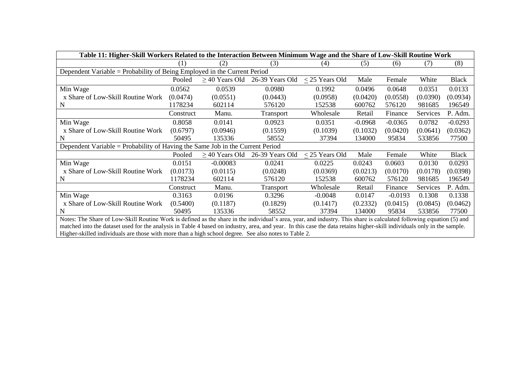| Table 11: Higher-Skill Workers Related to the Interaction Between Minimum Wage and the Share of Low-Skill Routine Work                                                  |           |                     |                 |                  |           |           |          |              |  |  |  |  |
|-------------------------------------------------------------------------------------------------------------------------------------------------------------------------|-----------|---------------------|-----------------|------------------|-----------|-----------|----------|--------------|--|--|--|--|
|                                                                                                                                                                         | (1)       | (2)                 | (3)             | (4)              | (5)       | (6)       | (7)      | (8)          |  |  |  |  |
| Dependent Variable = Probability of Being Employed in the Current Period                                                                                                |           |                     |                 |                  |           |           |          |              |  |  |  |  |
|                                                                                                                                                                         | Pooled    | $\geq$ 40 Years Old | 26-39 Years Old | $<$ 25 Years Old | Male      | Female    | White    | Black        |  |  |  |  |
| Min Wage                                                                                                                                                                | 0.0562    | 0.0539              | 0.0980          | 0.1992           | 0.0496    | 0.0648    | 0.0351   | 0.0133       |  |  |  |  |
| x Share of Low-Skill Routine Work                                                                                                                                       | (0.0474)  | (0.0551)            | (0.0443)        | (0.0958)         | (0.0420)  | (0.0558)  | (0.0390) | (0.0934)     |  |  |  |  |
| N                                                                                                                                                                       | 1178234   | 602114              | 576120          | 152538           | 600762    | 576120    | 981685   | 196549       |  |  |  |  |
|                                                                                                                                                                         | Construct | Manu.               | Transport       | Wholesale        | Retail    | Finance   | Services | P. Adm.      |  |  |  |  |
| Min Wage                                                                                                                                                                | 0.8058    | 0.0141              | 0.0923          | 0.0351           | $-0.0968$ | $-0.0365$ | 0.0782   | $-0.0293$    |  |  |  |  |
| x Share of Low-Skill Routine Work                                                                                                                                       | (0.6797)  | (0.0946)            | (0.1559)        | (0.1039)         | (0.1032)  | (0.0420)  | (0.0641) | (0.0362)     |  |  |  |  |
|                                                                                                                                                                         | 50495     | 135336              | 58552           | 37394            | 134000    | 95834     | 533856   | 77500        |  |  |  |  |
| Dependent Variable = Probability of Having the Same Job in the Current Period                                                                                           |           |                     |                 |                  |           |           |          |              |  |  |  |  |
|                                                                                                                                                                         | Pooled    | $\geq$ 40 Years Old | 26-39 Years Old | $<$ 25 Years Old | Male      | Female    | White    | <b>Black</b> |  |  |  |  |
| Min Wage                                                                                                                                                                | 0.0151    | $-0.00083$          | 0.0241          | 0.0225           | 0.0243    | 0.0603    | 0.0130   | 0.0293       |  |  |  |  |
| x Share of Low-Skill Routine Work                                                                                                                                       | (0.0173)  | (0.0115)            | (0.0248)        | (0.0369)         | (0.0213)  | (0.0170)  | (0.0178) | (0.0398)     |  |  |  |  |
| N                                                                                                                                                                       | 1178234   | 602114              | 576120          | 152538           | 600762    | 576120    | 981685   | 196549       |  |  |  |  |
|                                                                                                                                                                         | Construct | Manu.               | Transport       | Wholesale        | Retail    | Finance   | Services | P. Adm.      |  |  |  |  |
| Min Wage                                                                                                                                                                | 0.3163    | 0.0196              | 0.3296          | $-0.0048$        | 0.0147    | $-0.0193$ | 0.1308   | 0.1338       |  |  |  |  |
| x Share of Low-Skill Routine Work                                                                                                                                       | (0.5400)  | (0.1187)            | (0.1829)        | (0.1417)         | (0.2332)  | (0.0415)  | (0.0845) | (0.0462)     |  |  |  |  |
|                                                                                                                                                                         | 50495     | 135336              | 58552           | 37394            | 134000    | 95834     | 533856   | 77500        |  |  |  |  |
| Notes: The Share of Low-Skill Routine Work is defined as the share in the individual's area, year, and industry. This share is calculated following equation (5) and    |           |                     |                 |                  |           |           |          |              |  |  |  |  |
| matched into the dataset used for the analysis in Table 4 based on industry, area, and year. In this case the data retains higher-skill individuals only in the sample. |           |                     |                 |                  |           |           |          |              |  |  |  |  |
| Higher-skilled individuals are those with more than a high school degree. See also notes to Table 2.                                                                    |           |                     |                 |                  |           |           |          |              |  |  |  |  |